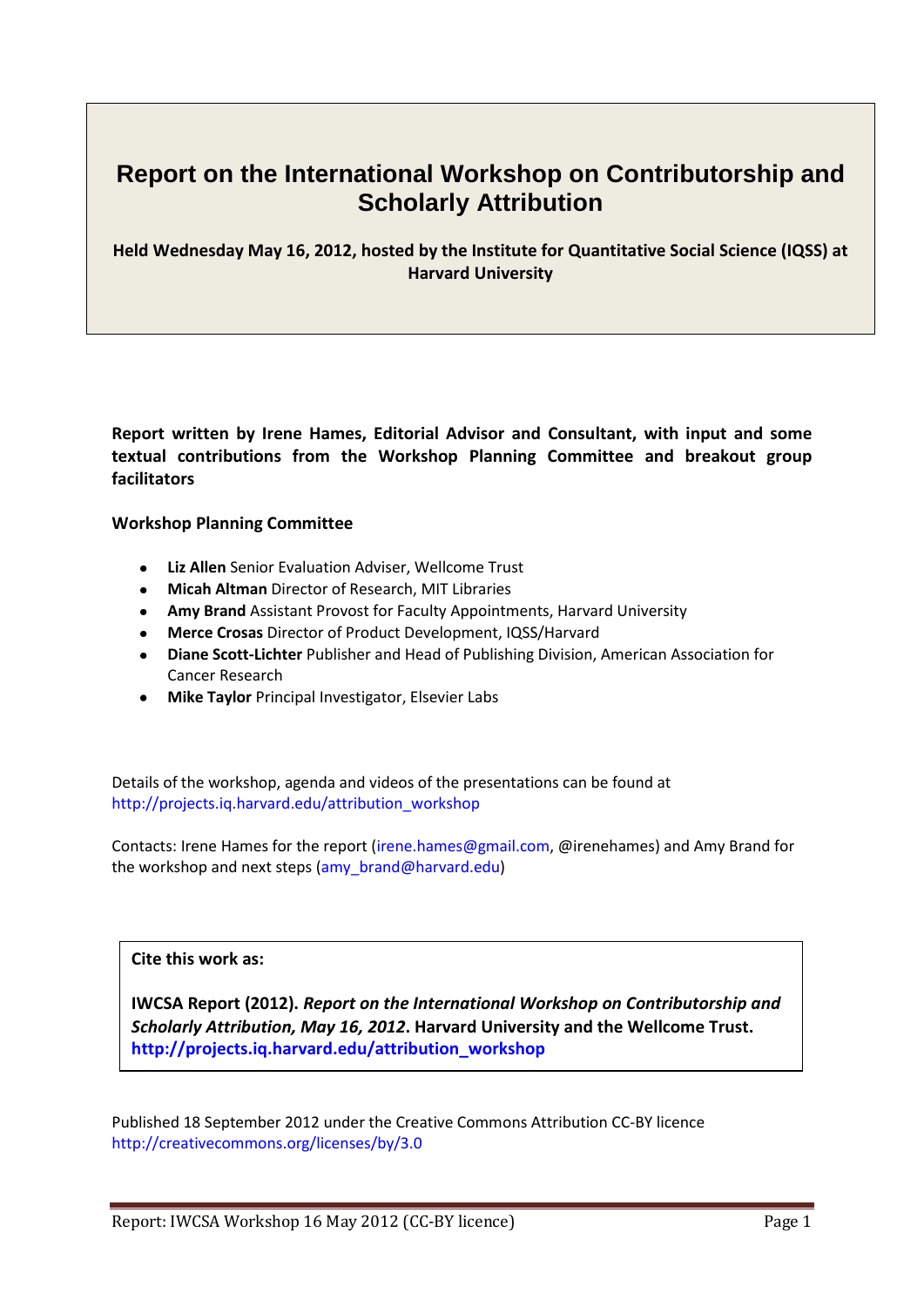# **Report on the [International Workshop on Contributorship and](http://projects.iq.harvard.edu/attribution_workshop)  [Scholarly Attribution](http://projects.iq.harvard.edu/attribution_workshop)**

**Held Wednesday May 16, 2012, hosted by the Institute for Quantitative Social Science (IQSS) at Harvard University**

**Report written by Irene Hames, Editorial Advisor and Consultant, with input and some textual contributions from the Workshop Planning Committee and breakout group facilitators**

#### **Workshop Planning Committee**

- **Liz Allen** Senior Evaluation Adviser, Wellcome Trust
- **Micah Altman** Director of Research, MIT Libraries
- **Amy Brand** Assistant Provost for Faculty Appointments, Harvard University
- **Merce Crosas** Director of Product Development, IQSS/Harvard
- **Diane Scott-Lichter** Publisher and Head of Publishing Division, American Association for Cancer Research
- **Mike Taylor** Principal Investigator, Elsevier Labs

Details of the workshop, agenda and videos of the presentations can be found at [http://projects.iq.harvard.edu/attribution\\_workshop](http://projects.iq.harvard.edu/attribution_workshop/)

Contacts: Irene Hames for the report [\(irene.hames@gmail.com,](mailto:irene.hames@gmail.com) @irenehames) and Amy Brand for the workshop and next steps [\(amy\\_brand@harvard.edu\)](mailto:amy_brand@harvard.edu)

# **Cite this work as:**

**IWCSA Report (2012).** *Report on the International Workshop on Contributorship and Scholarly Attribution, May 16, 2012***. Harvard University and the Wellcome Trust. [http://projects.iq.harvard.edu/attribution\\_workshop](http://projects.iq.harvard.edu/attribution_workshop)**

Published 18 September 2012 under the Creative Commons Attribution CC-BY licence [http://creativecommons.org/licenses/by/3.0](http://creativecommons.org/licenses/by/3.0/)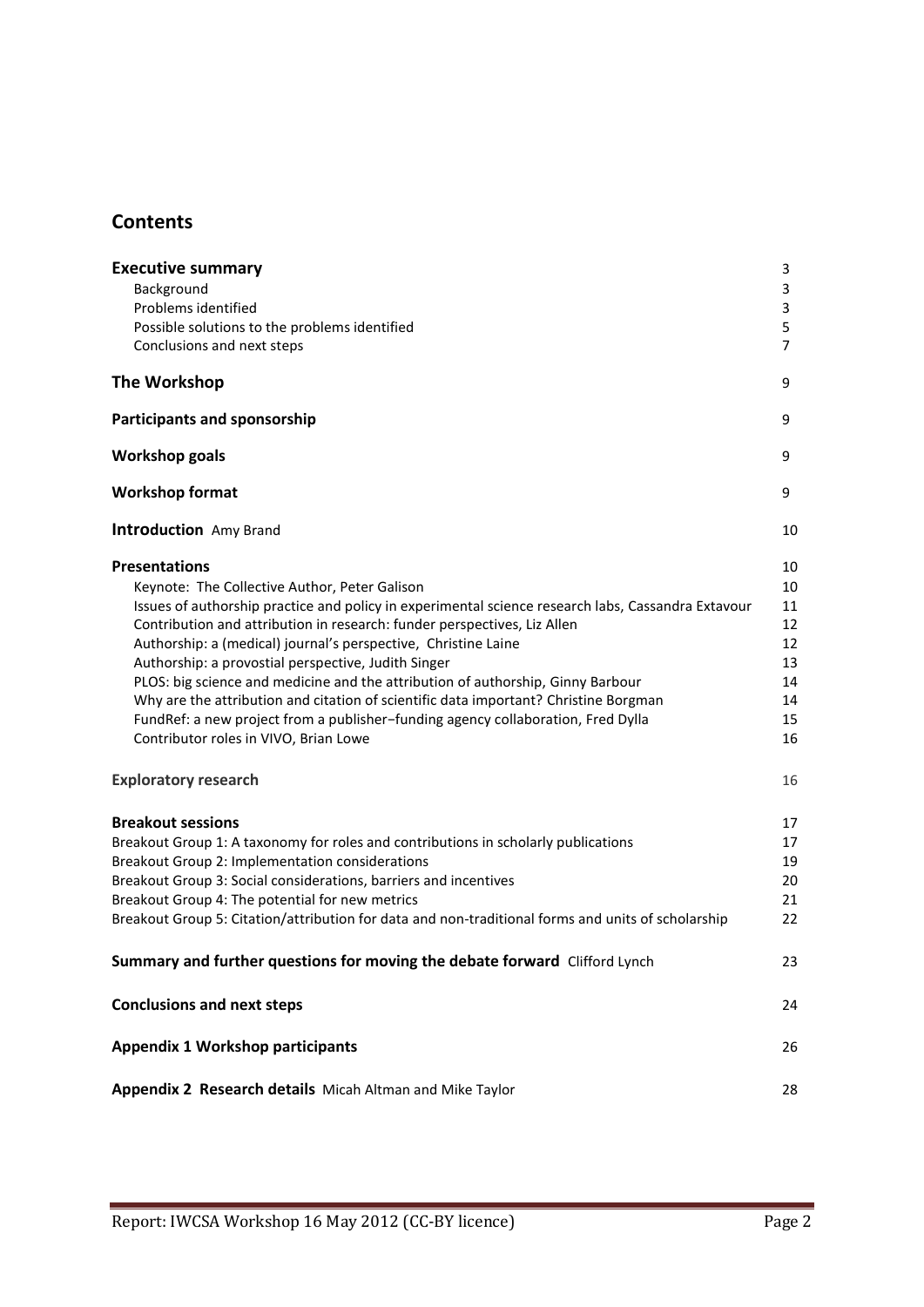# **Contents**

| <b>Executive summary</b><br>Background<br>Problems identified<br>Possible solutions to the problems identified<br>Conclusions and next steps                                                                                                                                                                                                                                                                                                                                                                                                                                                                                                                                             | 3<br>3<br>3<br>5<br>$\overline{7}$                       |
|------------------------------------------------------------------------------------------------------------------------------------------------------------------------------------------------------------------------------------------------------------------------------------------------------------------------------------------------------------------------------------------------------------------------------------------------------------------------------------------------------------------------------------------------------------------------------------------------------------------------------------------------------------------------------------------|----------------------------------------------------------|
| The Workshop                                                                                                                                                                                                                                                                                                                                                                                                                                                                                                                                                                                                                                                                             | 9                                                        |
| <b>Participants and sponsorship</b>                                                                                                                                                                                                                                                                                                                                                                                                                                                                                                                                                                                                                                                      | 9                                                        |
| <b>Workshop goals</b>                                                                                                                                                                                                                                                                                                                                                                                                                                                                                                                                                                                                                                                                    | 9                                                        |
| <b>Workshop format</b>                                                                                                                                                                                                                                                                                                                                                                                                                                                                                                                                                                                                                                                                   | 9                                                        |
| <b>Introduction</b> Amy Brand                                                                                                                                                                                                                                                                                                                                                                                                                                                                                                                                                                                                                                                            | 10                                                       |
| <b>Presentations</b><br>Keynote: The Collective Author, Peter Galison<br>Issues of authorship practice and policy in experimental science research labs, Cassandra Extavour<br>Contribution and attribution in research: funder perspectives, Liz Allen<br>Authorship: a (medical) journal's perspective, Christine Laine<br>Authorship: a provostial perspective, Judith Singer<br>PLOS: big science and medicine and the attribution of authorship, Ginny Barbour<br>Why are the attribution and citation of scientific data important? Christine Borgman<br>FundRef: a new project from a publisher-funding agency collaboration, Fred Dylla<br>Contributor roles in VIVO, Brian Lowe | 10<br>10<br>11<br>12<br>12<br>13<br>14<br>14<br>15<br>16 |
| <b>Exploratory research</b>                                                                                                                                                                                                                                                                                                                                                                                                                                                                                                                                                                                                                                                              | 16                                                       |
| <b>Breakout sessions</b><br>Breakout Group 1: A taxonomy for roles and contributions in scholarly publications<br>Breakout Group 2: Implementation considerations<br>Breakout Group 3: Social considerations, barriers and incentives<br>Breakout Group 4: The potential for new metrics<br>Breakout Group 5: Citation/attribution for data and non-traditional forms and units of scholarship                                                                                                                                                                                                                                                                                           | 17<br>17<br>19<br>20<br>21<br>22                         |
| Summary and further questions for moving the debate forward Clifford Lynch                                                                                                                                                                                                                                                                                                                                                                                                                                                                                                                                                                                                               | 23                                                       |
| <b>Conclusions and next steps</b>                                                                                                                                                                                                                                                                                                                                                                                                                                                                                                                                                                                                                                                        | 24                                                       |
| <b>Appendix 1 Workshop participants</b>                                                                                                                                                                                                                                                                                                                                                                                                                                                                                                                                                                                                                                                  | 26                                                       |
| Appendix 2 Research details Micah Altman and Mike Taylor                                                                                                                                                                                                                                                                                                                                                                                                                                                                                                                                                                                                                                 | 28                                                       |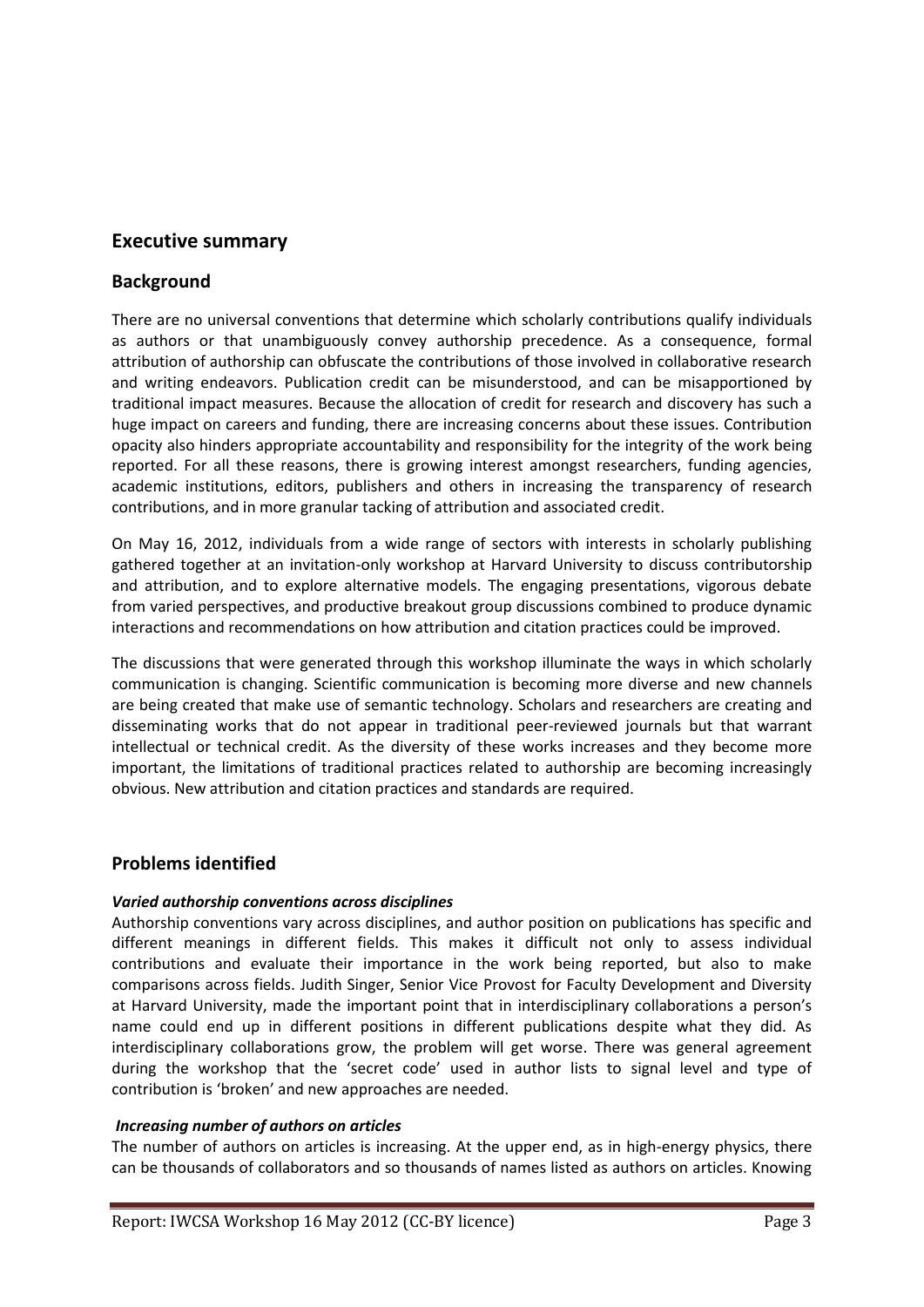# **Executive summary**

# **Background**

There are no universal conventions that determine which scholarly contributions qualify individuals as authors or that unambiguously convey authorship precedence. As a consequence, formal attribution of authorship can obfuscate the contributions of those involved in collaborative research and writing endeavors. Publication credit can be misunderstood, and can be misapportioned by traditional impact measures. Because the allocation of credit for research and discovery has such a huge impact on careers and funding, there are increasing concerns about these issues. Contribution opacity also hinders appropriate accountability and responsibility for the integrity of the work being reported. For all these reasons, there is growing interest amongst researchers, funding agencies, academic institutions, editors, publishers and others in increasing the transparency of research contributions, and in more granular tacking of attribution and associated credit.

On May 16, 2012, individuals from a wide range of sectors with interests in scholarly publishing gathered together at an invitation-only workshop at Harvard University to discuss contributorship and attribution, and to explore alternative models. The engaging presentations, vigorous debate from varied perspectives, and productive breakout group discussions combined to produce dynamic interactions and recommendations on how attribution and citation practices could be improved.

The discussions that were generated through this workshop illuminate the ways in which scholarly communication is changing. Scientific communication is becoming more diverse and new channels are being created that make use of semantic technology. Scholars and researchers are creating and disseminating works that do not appear in traditional peer-reviewed journals but that warrant intellectual or technical credit. As the diversity of these works increases and they become more important, the limitations of traditional practices related to authorship are becoming increasingly obvious. New attribution and citation practices and standards are required.

# **Problems identified**

# *Varied authorship conventions across disciplines*

Authorship conventions vary across disciplines, and author position on publications has specific and different meanings in different fields. This makes it difficult not only to assess individual contributions and evaluate their importance in the work being reported, but also to make comparisons across fields. Judith Singer, Senior Vice Provost for Faculty Development and Diversity at Harvard University, made the important point that in interdisciplinary collaborations a person's name could end up in different positions in different publications despite what they did. As interdisciplinary collaborations grow, the problem will get worse. There was general agreement during the workshop that the 'secret code' used in author lists to signal level and type of contribution is 'broken' and new approaches are needed.

#### *Increasing number of authors on articles*

The number of authors on articles is increasing. At the upper end, as in high-energy physics, there can be thousands of collaborators and so thousands of names listed as authors on articles. Knowing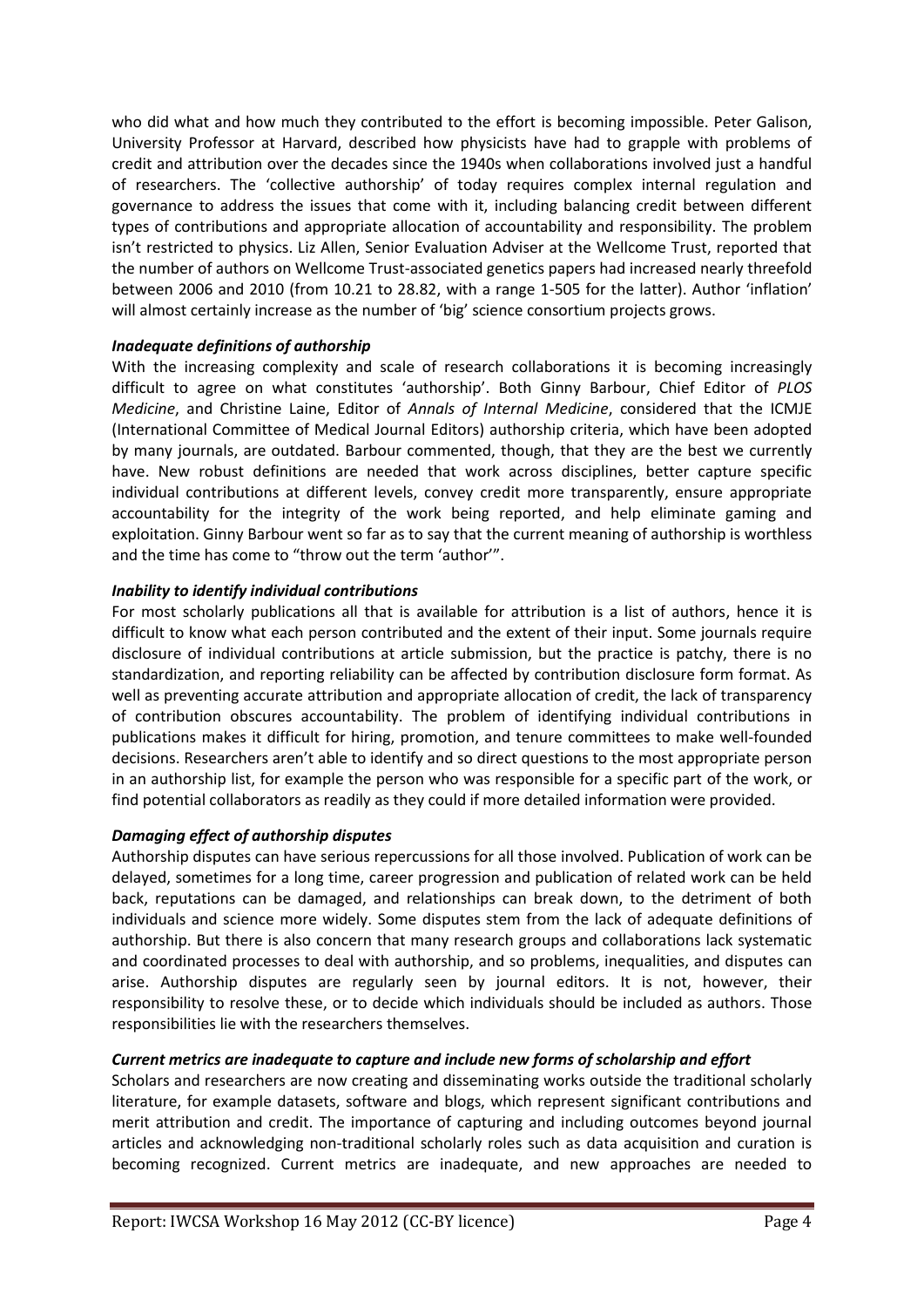who did what and how much they contributed to the effort is becoming impossible. Peter Galison, University Professor at Harvard, described how physicists have had to grapple with problems of credit and attribution over the decades since the 1940s when collaborations involved just a handful of researchers. The 'collective authorship' of today requires complex internal regulation and governance to address the issues that come with it, including balancing credit between different types of contributions and appropriate allocation of accountability and responsibility. The problem isn't restricted to physics. Liz Allen, Senior Evaluation Adviser at the Wellcome Trust, reported that the number of authors on Wellcome Trust-associated genetics papers had increased nearly threefold between 2006 and 2010 (from 10.21 to 28.82, with a range 1-505 for the latter). Author 'inflation' will almost certainly increase as the number of 'big' science consortium projects grows.

# *Inadequate definitions of authorship*

With the increasing complexity and scale of research collaborations it is becoming increasingly difficult to agree on what constitutes 'authorship'. Both Ginny Barbour, Chief Editor of *PLOS Medicine*, and Christine Laine, Editor of *Annals of Internal Medicine*, considered that the ICMJE (International Committee of Medical Journal Editors) authorship criteria, which have been adopted by many journals, are outdated. Barbour commented, though, that they are the best we currently have. New robust definitions are needed that work across disciplines, better capture specific individual contributions at different levels, convey credit more transparently, ensure appropriate accountability for the integrity of the work being reported, and help eliminate gaming and exploitation. Ginny Barbour went so far as to say that the current meaning of authorship is worthless and the time has come to "throw out the term 'author'".

#### *Inability to identify individual contributions*

For most scholarly publications all that is available for attribution is a list of authors, hence it is difficult to know what each person contributed and the extent of their input. Some journals require disclosure of individual contributions at article submission, but the practice is patchy, there is no standardization, and reporting reliability can be affected by contribution disclosure form format. As well as preventing accurate attribution and appropriate allocation of credit, the lack of transparency of contribution obscures accountability. The problem of identifying individual contributions in publications makes it difficult for hiring, promotion, and tenure committees to make well-founded decisions. Researchers aren't able to identify and so direct questions to the most appropriate person in an authorship list, for example the person who was responsible for a specific part of the work, or find potential collaborators as readily as they could if more detailed information were provided.

# *Damaging effect of authorship disputes*

Authorship disputes can have serious repercussions for all those involved. Publication of work can be delayed, sometimes for a long time, career progression and publication of related work can be held back, reputations can be damaged, and relationships can break down, to the detriment of both individuals and science more widely. Some disputes stem from the lack of adequate definitions of authorship. But there is also concern that many research groups and collaborations lack systematic and coordinated processes to deal with authorship, and so problems, inequalities, and disputes can arise. Authorship disputes are regularly seen by journal editors. It is not, however, their responsibility to resolve these, or to decide which individuals should be included as authors. Those responsibilities lie with the researchers themselves.

#### *Current metrics are inadequate to capture and include new forms of scholarship and effort*

Scholars and researchers are now creating and disseminating works outside the traditional scholarly literature, for example datasets, software and blogs, which represent significant contributions and merit attribution and credit. The importance of capturing and including outcomes beyond journal articles and acknowledging non-traditional scholarly roles such as data acquisition and curation is becoming recognized. Current metrics are inadequate, and new approaches are needed to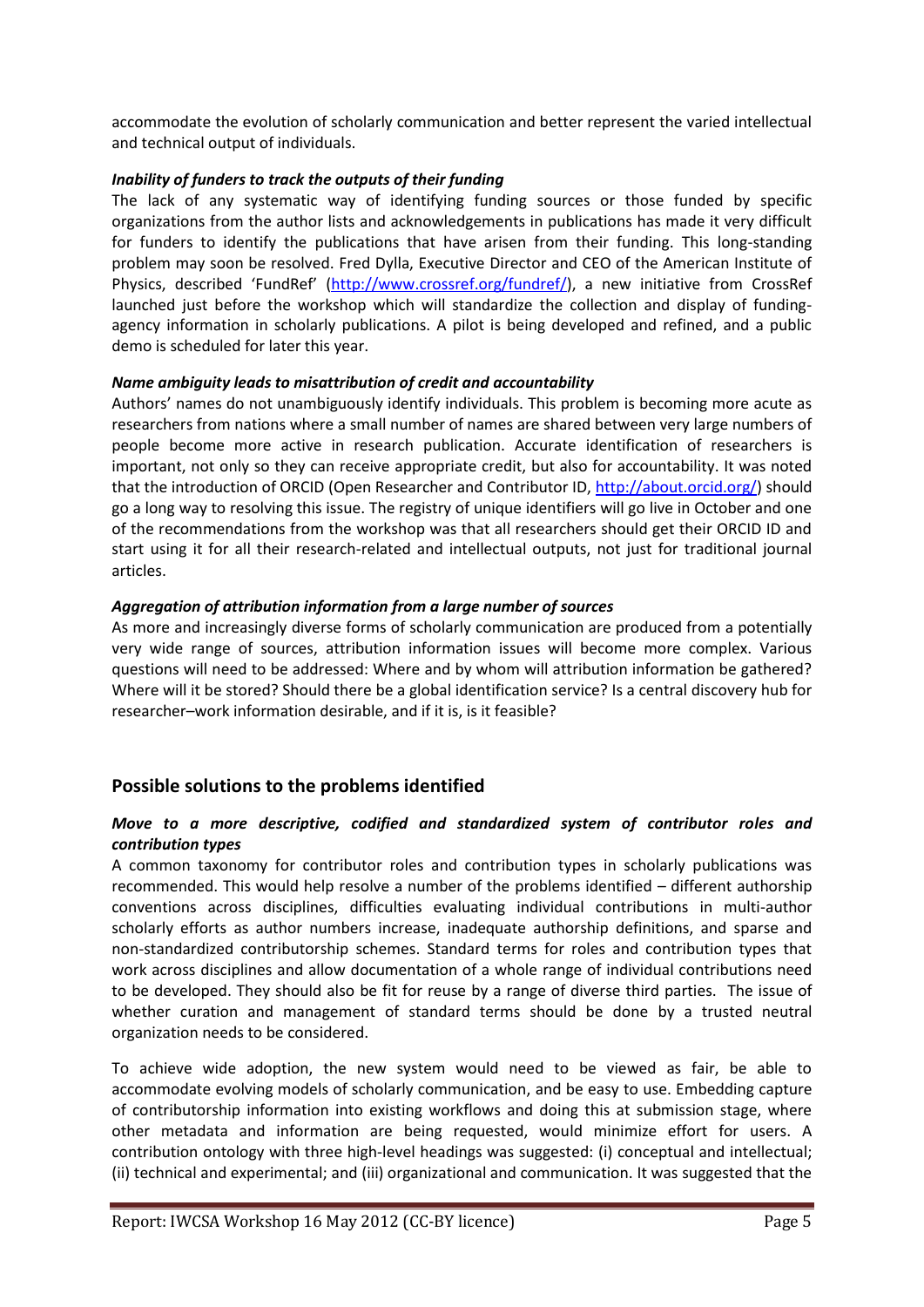accommodate the evolution of scholarly communication and better represent the varied intellectual and technical output of individuals.

### *Inability of funders to track the outputs of their funding*

The lack of any systematic way of identifying funding sources or those funded by specific organizations from the author lists and acknowledgements in publications has made it very difficult for funders to identify the publications that have arisen from their funding. This long-standing problem may soon be resolved. Fred Dylla, Executive Director and CEO of the American Institute of Physics, described 'FundRef' [\(http://www.crossref.org/fundref/\)](http://www.crossref.org/fundref/), a new initiative from CrossRef launched just before the workshop which will standardize the collection and display of fundingagency information in scholarly publications. A pilot is being developed and refined, and a public demo is scheduled for later this year.

#### *Name ambiguity leads to misattribution of credit and accountability*

Authors' names do not unambiguously identify individuals. This problem is becoming more acute as researchers from nations where a small number of names are shared between very large numbers of people become more active in research publication. Accurate identification of researchers is important, not only so they can receive appropriate credit, but also for accountability. It was noted that the introduction of ORCID (Open Researcher and Contributor ID[, http://about.orcid.org/\)](http://about.orcid.org/) should go a long way to resolving this issue. The registry of unique identifiers will go live in October and one of the recommendations from the workshop was that all researchers should get their ORCID ID and start using it for all their research-related and intellectual outputs, not just for traditional journal articles.

#### *Aggregation of attribution information from a large number of sources*

As more and increasingly diverse forms of scholarly communication are produced from a potentially very wide range of sources, attribution information issues will become more complex. Various questions will need to be addressed: Where and by whom will attribution information be gathered? Where will it be stored? Should there be a global identification service? Is a central discovery hub for researcher–work information desirable, and if it is, is it feasible?

# **Possible solutions to the problems identified**

#### *Move to a more descriptive, codified and standardized system of contributor roles and contribution types*

A common taxonomy for contributor roles and contribution types in scholarly publications was recommended. This would help resolve a number of the problems identified – different authorship conventions across disciplines, difficulties evaluating individual contributions in multi-author scholarly efforts as author numbers increase, inadequate authorship definitions, and sparse and non-standardized contributorship schemes. Standard terms for roles and contribution types that work across disciplines and allow documentation of a whole range of individual contributions need to be developed. They should also be fit for reuse by a range of diverse third parties. The issue of whether curation and management of standard terms should be done by a trusted neutral organization needs to be considered.

To achieve wide adoption, the new system would need to be viewed as fair, be able to accommodate evolving models of scholarly communication, and be easy to use. Embedding capture of contributorship information into existing workflows and doing this at submission stage, where other metadata and information are being requested, would minimize effort for users. A contribution ontology with three high-level headings was suggested: (i) conceptual and intellectual; (ii) technical and experimental; and (iii) organizational and communication. It was suggested that the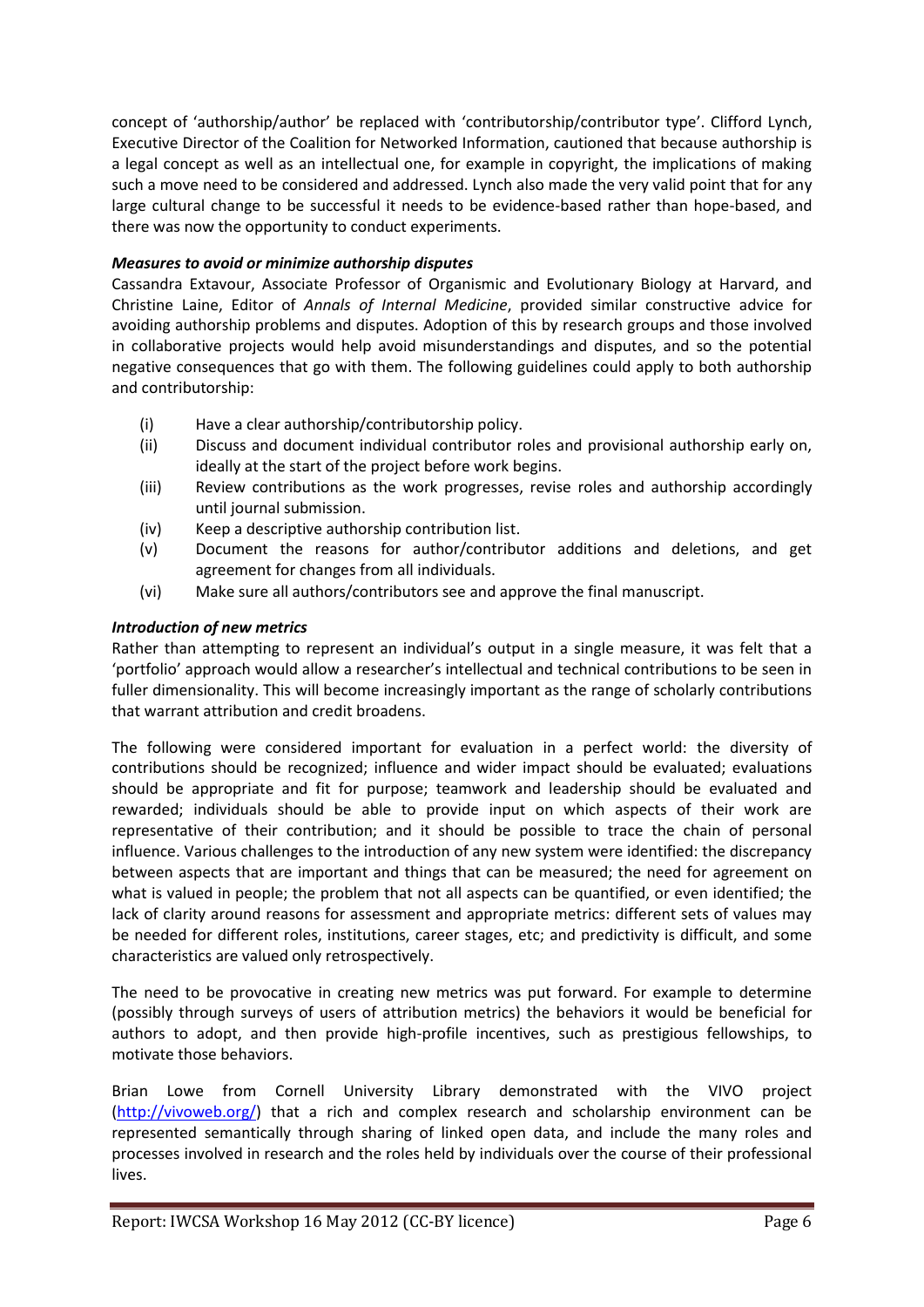concept of 'authorship/author' be replaced with 'contributorship/contributor type'. Clifford Lynch, Executive Director of the Coalition for Networked Information, cautioned that because authorship is a legal concept as well as an intellectual one, for example in copyright, the implications of making such a move need to be considered and addressed. Lynch also made the very valid point that for any large cultural change to be successful it needs to be evidence-based rather than hope-based, and there was now the opportunity to conduct experiments.

# *Measures to avoid or minimize authorship disputes*

Cassandra Extavour, Associate Professor of Organismic and Evolutionary Biology at Harvard, and Christine Laine, Editor of *Annals of Internal Medicine*, provided similar constructive advice for avoiding authorship problems and disputes. Adoption of this by research groups and those involved in collaborative projects would help avoid misunderstandings and disputes, and so the potential negative consequences that go with them. The following guidelines could apply to both authorship and contributorship:

- (i) Have a clear authorship/contributorship policy.
- (ii) Discuss and document individual contributor roles and provisional authorship early on, ideally at the start of the project before work begins.
- (iii) Review contributions as the work progresses, revise roles and authorship accordingly until journal submission.
- (iv) Keep a descriptive authorship contribution list.
- (v) Document the reasons for author/contributor additions and deletions, and get agreement for changes from all individuals.
- (vi) Make sure all authors/contributors see and approve the final manuscript.

# *Introduction of new metrics*

Rather than attempting to represent an individual's output in a single measure, it was felt that a 'portfolio' approach would allow a researcher's intellectual and technical contributions to be seen in fuller dimensionality. This will become increasingly important as the range of scholarly contributions that warrant attribution and credit broadens.

The following were considered important for evaluation in a perfect world: the diversity of contributions should be recognized; influence and wider impact should be evaluated; evaluations should be appropriate and fit for purpose; teamwork and leadership should be evaluated and rewarded; individuals should be able to provide input on which aspects of their work are representative of their contribution; and it should be possible to trace the chain of personal influence. Various challenges to the introduction of any new system were identified: the discrepancy between aspects that are important and things that can be measured; the need for agreement on what is valued in people; the problem that not all aspects can be quantified, or even identified; the lack of clarity around reasons for assessment and appropriate metrics: different sets of values may be needed for different roles, institutions, career stages, etc; and predictivity is difficult, and some characteristics are valued only retrospectively.

The need to be provocative in creating new metrics was put forward. For example to determine (possibly through surveys of users of attribution metrics) the behaviors it would be beneficial for authors to adopt, and then provide high-profile incentives, such as prestigious fellowships, to motivate those behaviors.

Brian Lowe from Cornell University Library demonstrated with the VIVO project [\(http://vivoweb.org/\)](http://vivoweb.org/) that a rich and complex research and scholarship environment can be represented semantically through sharing of linked open data, and include the many roles and processes involved in research and the roles held by individuals over the course of their professional lives.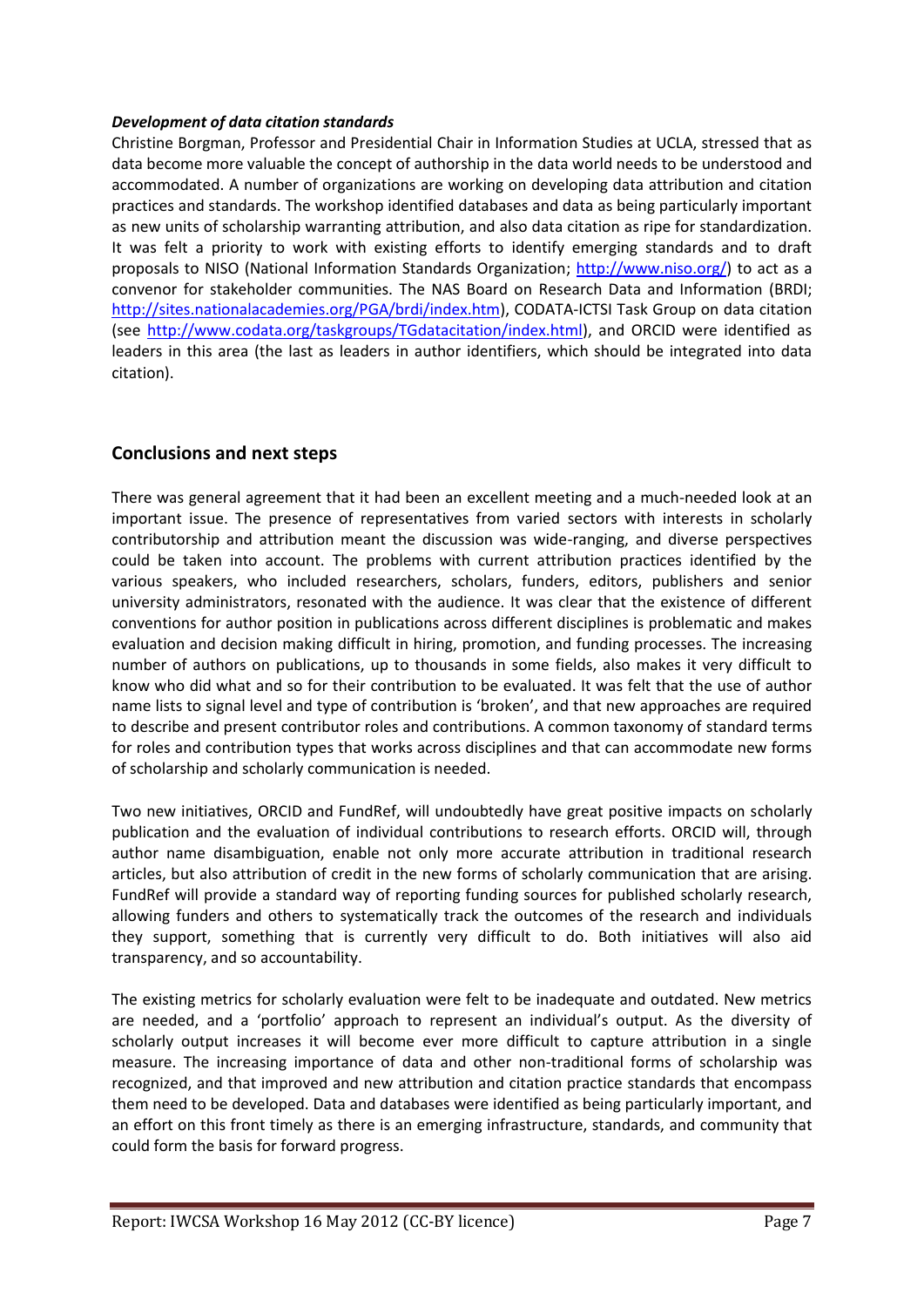#### *Development of data citation standards*

Christine Borgman, Professor and Presidential Chair in Information Studies at UCLA, stressed that as data become more valuable the concept of authorship in the data world needs to be understood and accommodated. A number of organizations are working on developing data attribution and citation practices and standards. The workshop identified databases and data as being particularly important as new units of scholarship warranting attribution, and also data citation as ripe for standardization. It was felt a priority to work with existing efforts to identify emerging standards and to draft proposals to NISO (National Information Standards Organization; [http://www.niso.org/\)](http://www.niso.org/) to act as a convenor for stakeholder communities. The NAS Board on Research Data and Information (BRDI; [http://sites.nationalacademies.org/PGA/brdi/index.htm\)](http://sites.nationalacademies.org/PGA/brdi/index.htm), CODATA-ICTSI Task Group on data citation (see [http://www.codata.org/taskgroups/TGdatacitation/index.html\)](http://www.codata.org/taskgroups/TGdatacitation/index.html), and ORCID were identified as leaders in this area (the last as leaders in author identifiers, which should be integrated into data citation).

# **Conclusions and next steps**

There was general agreement that it had been an excellent meeting and a much-needed look at an important issue. The presence of representatives from varied sectors with interests in scholarly contributorship and attribution meant the discussion was wide-ranging, and diverse perspectives could be taken into account. The problems with current attribution practices identified by the various speakers, who included researchers, scholars, funders, editors, publishers and senior university administrators, resonated with the audience. It was clear that the existence of different conventions for author position in publications across different disciplines is problematic and makes evaluation and decision making difficult in hiring, promotion, and funding processes. The increasing number of authors on publications, up to thousands in some fields, also makes it very difficult to know who did what and so for their contribution to be evaluated. It was felt that the use of author name lists to signal level and type of contribution is 'broken', and that new approaches are required to describe and present contributor roles and contributions. A common taxonomy of standard terms for roles and contribution types that works across disciplines and that can accommodate new forms of scholarship and scholarly communication is needed.

Two new initiatives, ORCID and FundRef, will undoubtedly have great positive impacts on scholarly publication and the evaluation of individual contributions to research efforts. ORCID will, through author name disambiguation, enable not only more accurate attribution in traditional research articles, but also attribution of credit in the new forms of scholarly communication that are arising. FundRef will provide a standard way of reporting funding sources for published scholarly research, allowing funders and others to systematically track the outcomes of the research and individuals they support, something that is currently very difficult to do. Both initiatives will also aid transparency, and so accountability.

The existing metrics for scholarly evaluation were felt to be inadequate and outdated. New metrics are needed, and a 'portfolio' approach to represent an individual's output. As the diversity of scholarly output increases it will become ever more difficult to capture attribution in a single measure. The increasing importance of data and other non-traditional forms of scholarship was recognized, and that improved and new attribution and citation practice standards that encompass them need to be developed. Data and databases were identified as being particularly important, and an effort on this front timely as there is an emerging infrastructure, standards, and community that could form the basis for forward progress.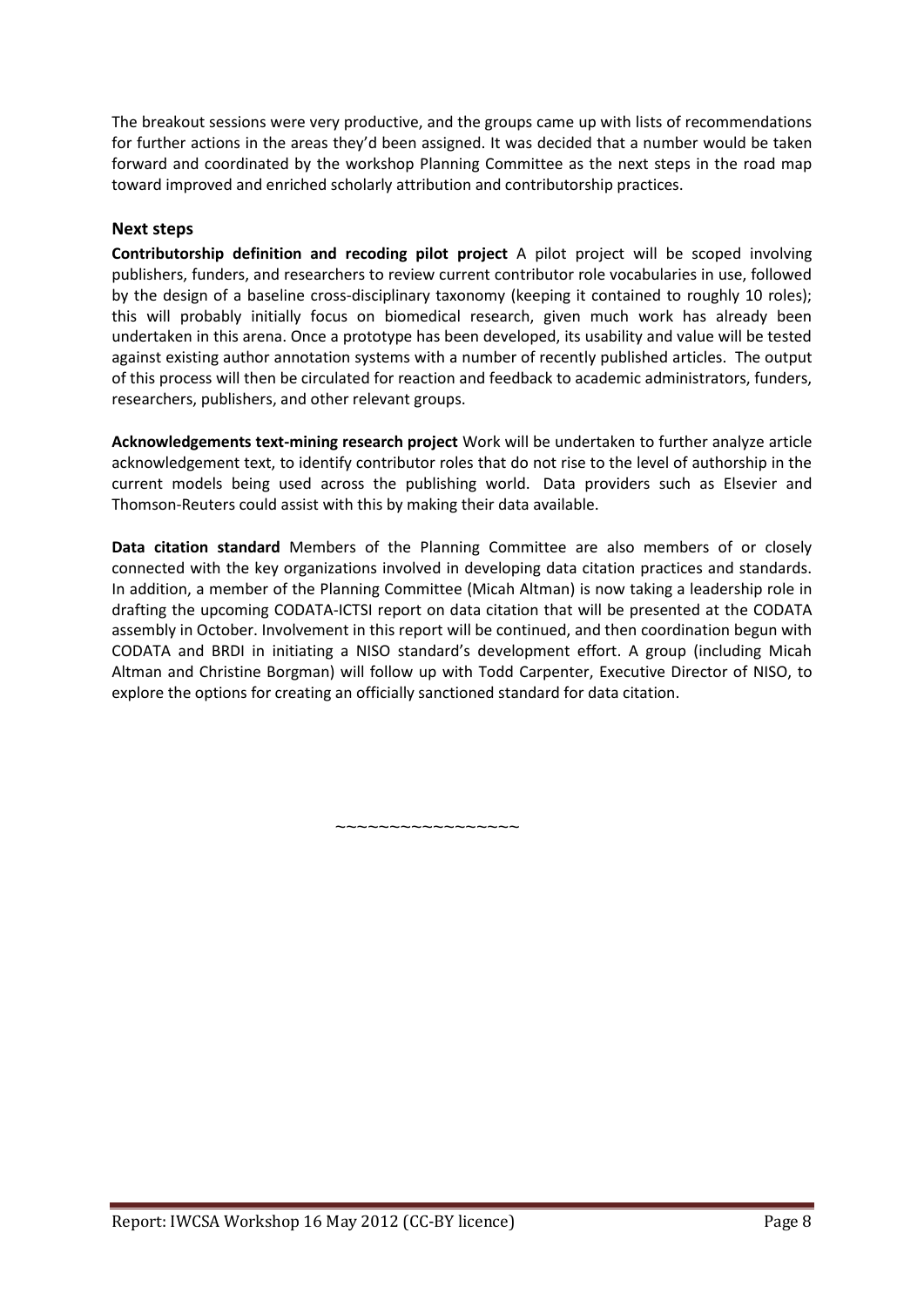The breakout sessions were very productive, and the groups came up with lists of recommendations for further actions in the areas they'd been assigned. It was decided that a number would be taken forward and coordinated by the workshop Planning Committee as the next steps in the road map toward improved and enriched scholarly attribution and contributorship practices.

# **Next steps**

**Contributorship definition and recoding pilot project** A pilot project will be scoped involving publishers, funders, and researchers to review current contributor role vocabularies in use, followed by the design of a baseline cross-disciplinary taxonomy (keeping it contained to roughly 10 roles); this will probably initially focus on biomedical research, given much work has already been undertaken in this arena. Once a prototype has been developed, its usability and value will be tested against existing author annotation systems with a number of recently published articles. The output of this process will then be circulated for reaction and feedback to academic administrators, funders, researchers, publishers, and other relevant groups.

**Acknowledgements text-mining research project** Work will be undertaken to further analyze article acknowledgement text, to identify contributor roles that do not rise to the level of authorship in the current models being used across the publishing world. Data providers such as Elsevier and Thomson-Reuters could assist with this by making their data available.

**Data citation standard** Members of the Planning Committee are also members of or closely connected with the key organizations involved in developing data citation practices and standards. In addition, a member of the Planning Committee (Micah Altman) is now taking a leadership role in drafting the upcoming CODATA-ICTSI report on data citation that will be presented at the CODATA assembly in October. Involvement in this report will be continued, and then coordination begun with CODATA and BRDI in initiating a NISO standard's development effort. A group (including Micah Altman and Christine Borgman) will follow up with Todd Carpenter, Executive Director of NISO, to explore the options for creating an officially sanctioned standard for data citation.

~~~~~~~~~~~~~~~~~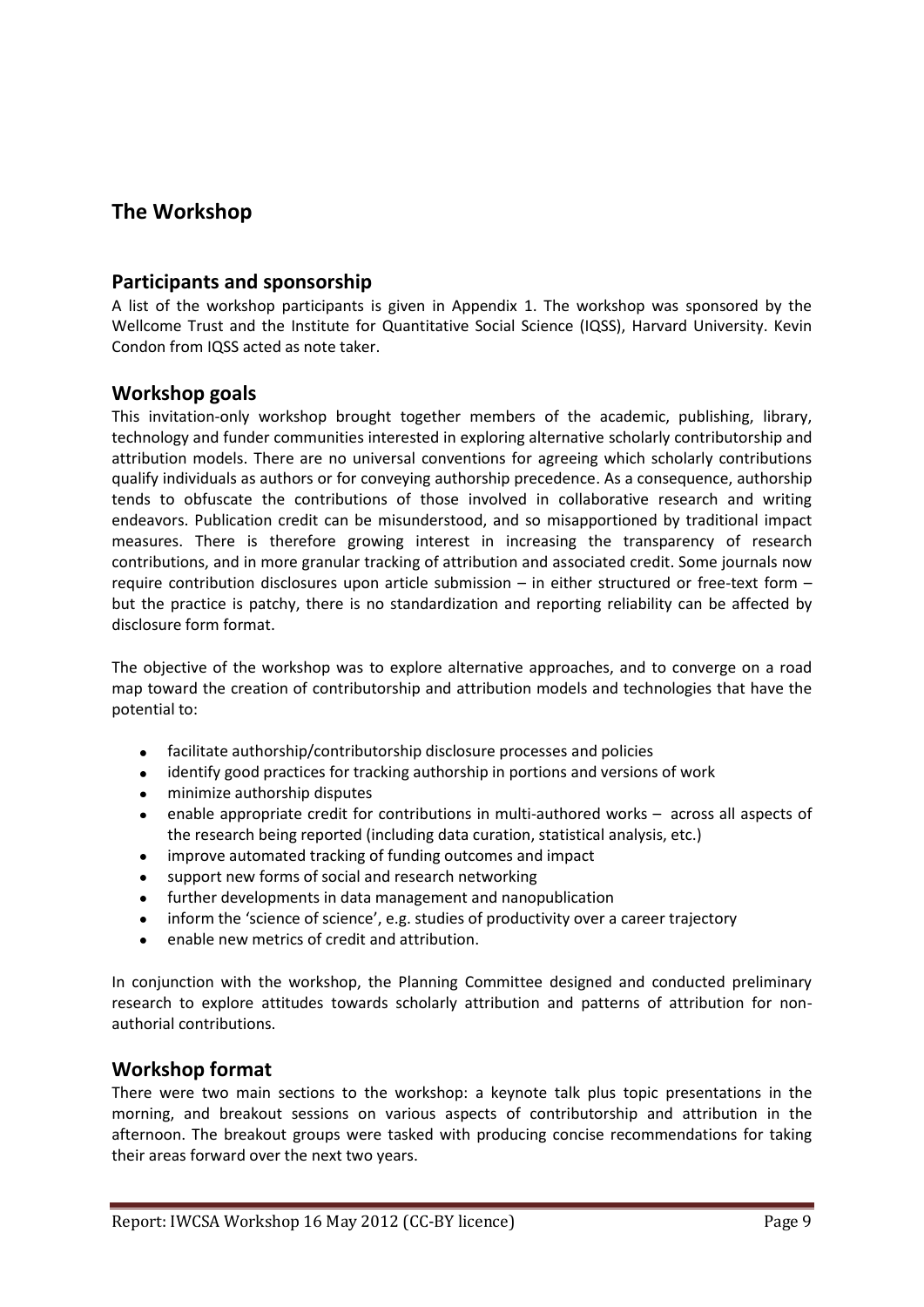# **The Workshop**

# **Participants and sponsorship**

A list of the workshop participants is given in Appendix 1. The workshop was sponsored by the Wellcome Trust and the Institute for Quantitative Social Science (IQSS), Harvard University. Kevin Condon from IQSS acted as note taker.

# **Workshop goals**

This invitation-only workshop brought together members of the academic, publishing, library, technology and funder communities interested in exploring alternative scholarly contributorship and attribution models. There are no universal conventions for agreeing which scholarly contributions qualify individuals as authors or for conveying authorship precedence. As a consequence, authorship tends to obfuscate the contributions of those involved in collaborative research and writing endeavors. Publication credit can be misunderstood, and so misapportioned by traditional impact measures. There is therefore growing interest in increasing the transparency of research contributions, and in more granular tracking of attribution and associated credit. Some journals now require contribution disclosures upon article submission – in either structured or free-text form – but the practice is patchy, there is no standardization and reporting reliability can be affected by disclosure form format.

The objective of the workshop was to explore alternative approaches, and to converge on a road map toward the creation of contributorship and attribution models and technologies that have the potential to:

- $\bullet$ facilitate authorship/contributorship disclosure processes and policies
- identify good practices for tracking authorship in portions and versions of work  $\bullet$
- minimize authorship disputes  $\bullet$
- $\bullet$ enable appropriate credit for contributions in multi-authored works – across all aspects of the research being reported (including data curation, statistical analysis, etc.)
- improve automated tracking of funding outcomes and impact  $\bullet$
- support new forms of social and research networking  $\bullet$
- further developments in data management and nanopublication  $\bullet$
- inform the 'science of science', e.g. studies of productivity over a career trajectory
- enable new metrics of credit and attribution.

In conjunction with the workshop, the Planning Committee designed and conducted preliminary research to explore attitudes towards scholarly attribution and patterns of attribution for nonauthorial contributions.

# **Workshop format**

There were two main sections to the workshop: a keynote talk plus topic presentations in the morning, and breakout sessions on various aspects of contributorship and attribution in the afternoon. The breakout groups were tasked with producing concise recommendations for taking their areas forward over the next two years.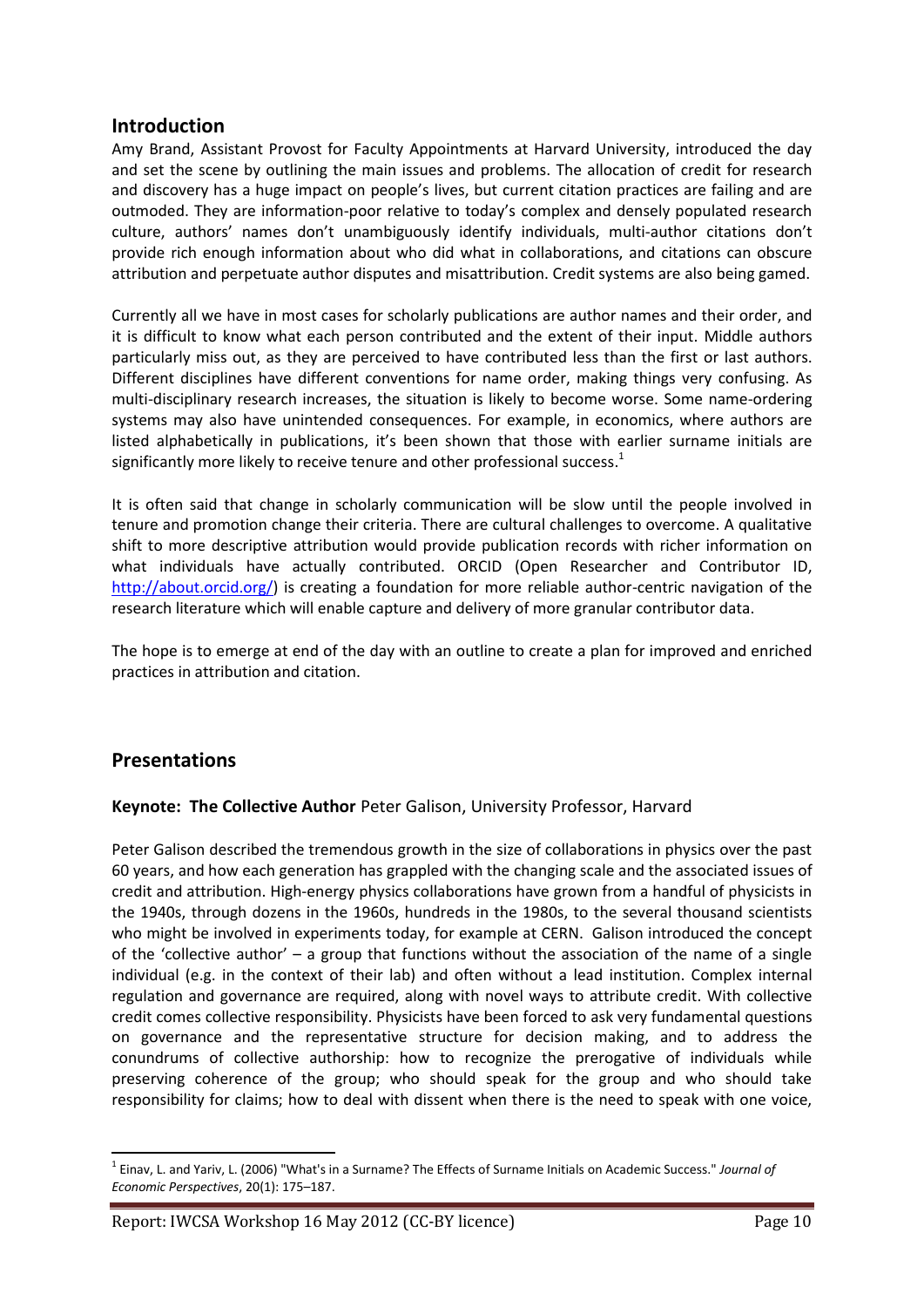# **Introduction**

Amy Brand, Assistant Provost for Faculty Appointments at Harvard University, introduced the day and set the scene by outlining the main issues and problems. The allocation of credit for research and discovery has a huge impact on people's lives, but current citation practices are failing and are outmoded. They are information-poor relative to today's complex and densely populated research culture, authors' names don't unambiguously identify individuals, multi-author citations don't provide rich enough information about who did what in collaborations, and citations can obscure attribution and perpetuate author disputes and misattribution. Credit systems are also being gamed.

Currently all we have in most cases for scholarly publications are author names and their order, and it is difficult to know what each person contributed and the extent of their input. Middle authors particularly miss out, as they are perceived to have contributed less than the first or last authors. Different disciplines have different conventions for name order, making things very confusing. As multi-disciplinary research increases, the situation is likely to become worse. Some name-ordering systems may also have unintended consequences. For example, in economics, where authors are listed alphabetically in publications, it's been shown that those with earlier surname initials are significantly more likely to receive tenure and other professional success.<sup>1</sup>

It is often said that change in scholarly communication will be slow until the people involved in tenure and promotion change their criteria. There are cultural challenges to overcome. A qualitative shift to more descriptive attribution would provide publication records with richer information on what individuals have actually contributed. ORCID (Open Researcher and Contributor ID, [http://about.orcid.org/\)](http://about.orcid.org/) is creating a foundation for more reliable author-centric navigation of the research literature which will enable capture and delivery of more granular contributor data.

The hope is to emerge at end of the day with an outline to create a plan for improved and enriched practices in attribution and citation.

# **Presentations**

**.** 

# **Keynote: The Collective Author** Peter Galison, University Professor, Harvard

Peter Galison described the tremendous growth in the size of collaborations in physics over the past 60 years, and how each generation has grappled with the changing scale and the associated issues of credit and attribution. High-energy physics collaborations have grown from a handful of physicists in the 1940s, through dozens in the 1960s, hundreds in the 1980s, to the several thousand scientists who might be involved in experiments today, for example at CERN. Galison introduced the concept of the 'collective author' – a group that functions without the association of the name of a single individual (e.g. in the context of their lab) and often without a lead institution. Complex internal regulation and governance are required, along with novel ways to attribute credit. With collective credit comes collective responsibility. Physicists have been forced to ask very fundamental questions on governance and the representative structure for decision making, and to address the conundrums of collective authorship: how to recognize the prerogative of individuals while preserving coherence of the group; who should speak for the group and who should take responsibility for claims; how to deal with dissent when there is the need to speak with one voice,

<sup>1</sup> Einav, L. and Yariv, L. (2006) "What's in a Surname? The Effects of Surname Initials on Academic Success." *Journal of Economic Perspectives*, 20(1): 175–187.

Report: IWCSA Workshop 16 May 2012 (CC-BY licence) Page 10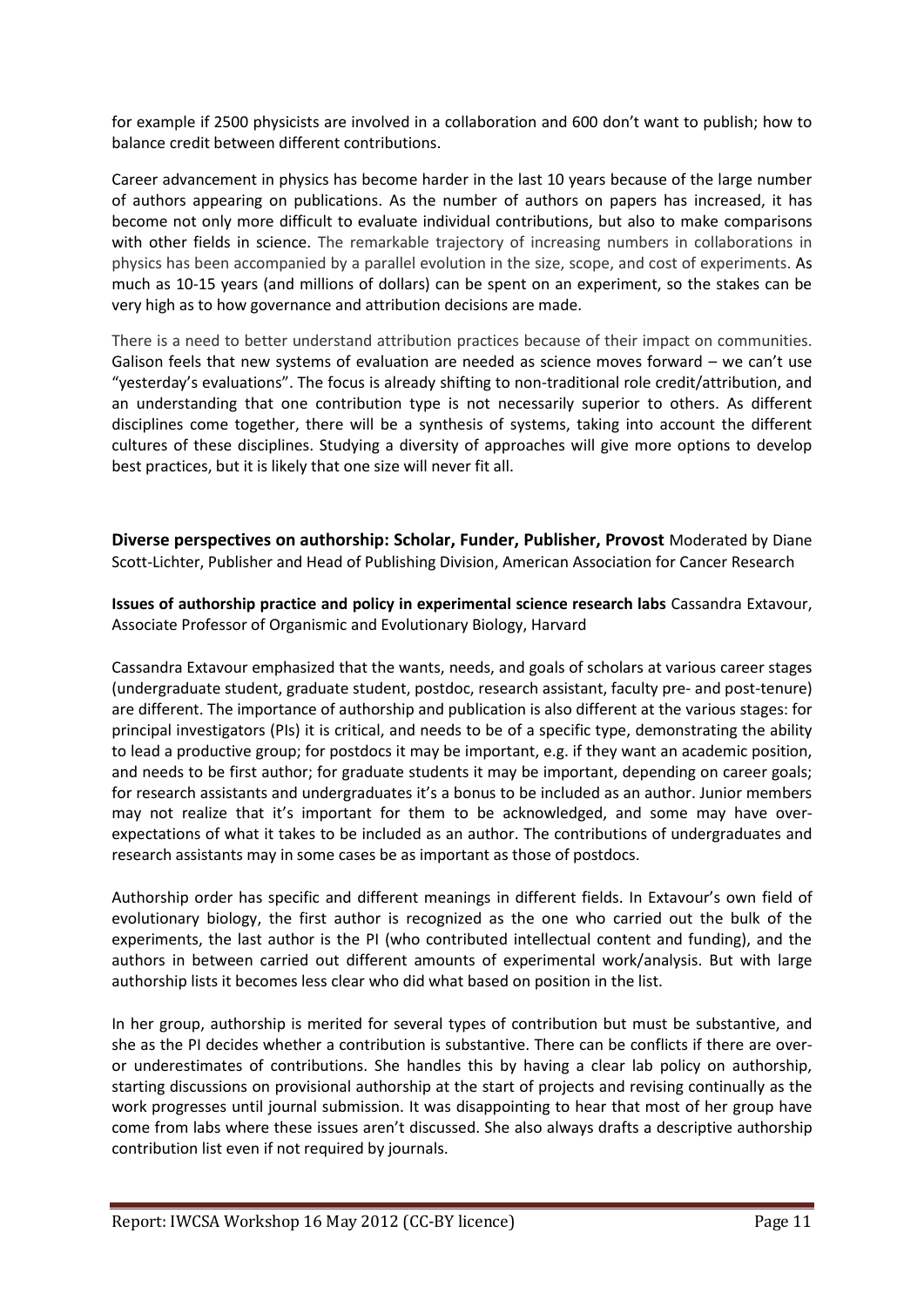for example if 2500 physicists are involved in a collaboration and 600 don't want to publish; how to balance credit between different contributions.

Career advancement in physics has become harder in the last 10 years because of the large number of authors appearing on publications. As the number of authors on papers has increased, it has become not only more difficult to evaluate individual contributions, but also to make comparisons with other fields in science. The remarkable trajectory of increasing numbers in collaborations in physics has been accompanied by a parallel evolution in the size, scope, and cost of experiments. As much as 10-15 years (and millions of dollars) can be spent on an experiment, so the stakes can be very high as to how governance and attribution decisions are made.

There is a need to better understand attribution practices because of their impact on communities. Galison feels that new systems of evaluation are needed as science moves forward – we can't use "yesterday's evaluations". The focus is already shifting to non-traditional role credit/attribution, and an understanding that one contribution type is not necessarily superior to others. As different disciplines come together, there will be a synthesis of systems, taking into account the different cultures of these disciplines. Studying a diversity of approaches will give more options to develop best practices, but it is likely that one size will never fit all.

**Diverse perspectives on authorship: Scholar, Funder, Publisher, Provost** Moderated b[y Diane](http://sspnet.org/Professional_Development/3116/September_2010_Profile__Diaine_S/spage.aspx)  Scott-Lichter, Publisher [and Head of Publishing Division, American Association for Cancer Research](http://sspnet.org/Professional_Development/3116/September_2010_Profile__Diaine_S/spage.aspx)

**Issues of authorship practice and policy in experimental science research labs** [Cassandra Extavour,](http://www.oeb.harvard.edu/faculty/extavour/extavour-oeb.html)  [Associate Professor of Organismic and](http://www.oeb.harvard.edu/faculty/extavour/extavour-oeb.html) Evolutionary Biology, Harvard

Cassandra Extavour emphasized that the wants, needs, and goals of scholars at various career stages (undergraduate student, graduate student, postdoc, research assistant, faculty pre- and post-tenure) are different. The importance of authorship and publication is also different at the various stages: for principal investigators (PIs) it is critical, and needs to be of a specific type, demonstrating the ability to lead a productive group; for postdocs it may be important, e.g. if they want an academic position, and needs to be first author; for graduate students it may be important, depending on career goals; for research assistants and undergraduates it's a bonus to be included as an author. Junior members may not realize that it's important for them to be acknowledged, and some may have overexpectations of what it takes to be included as an author. The contributions of undergraduates and research assistants may in some cases be as important as those of postdocs.

Authorship order has specific and different meanings in different fields. In Extavour's own field of evolutionary biology, the first author is recognized as the one who carried out the bulk of the experiments, the last author is the PI (who contributed intellectual content and funding), and the authors in between carried out different amounts of experimental work/analysis. But with large authorship lists it becomes less clear who did what based on position in the list.

In her group, authorship is merited for several types of contribution but must be substantive, and she as the PI decides whether a contribution is substantive. There can be conflicts if there are overor underestimates of contributions. She handles this by having a clear lab policy on authorship, starting discussions on provisional authorship at the start of projects and revising continually as the work progresses until journal submission. It was disappointing to hear that most of her group have come from labs where these issues aren't discussed. She also always drafts a descriptive authorship contribution list even if not required by journals.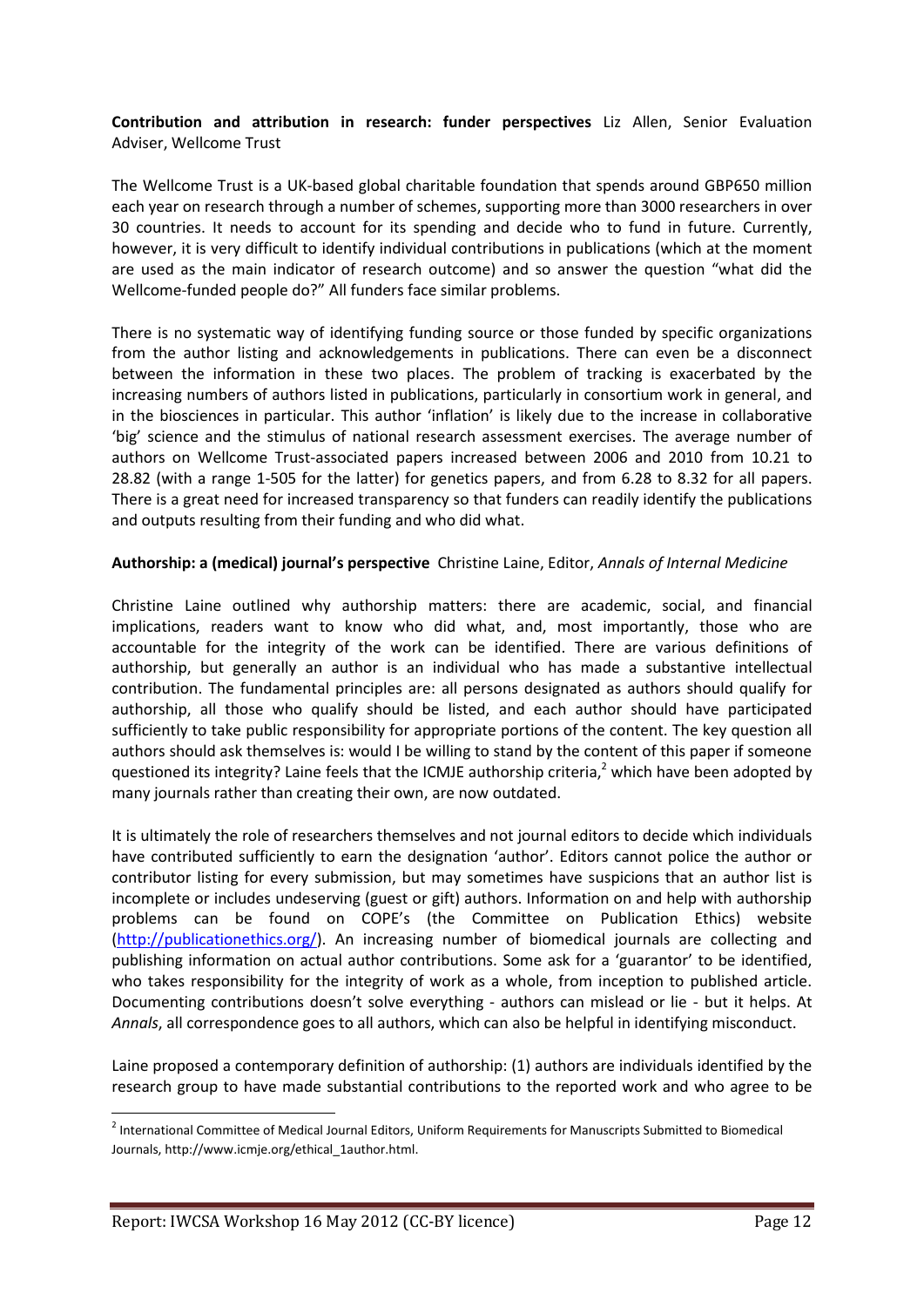**Contribution and attribution in research: funder perspectives** [Liz Allen, Senior Evaluation](http://www.linkedin.com/pub/liz-allen/b/3a0/538)  Adviser, [Wellcome](http://www.linkedin.com/pub/liz-allen/b/3a0/538) Trust

The Wellcome Trust is a UK-based global charitable foundation that spends around GBP650 million each year on research through a number of schemes, supporting more than 3000 researchers in over 30 countries. It needs to account for its spending and decide who to fund in future. Currently, however, it is very difficult to identify individual contributions in publications (which at the moment are used as the main indicator of research outcome) and so answer the question "what did the Wellcome-funded people do?" All funders face similar problems.

There is no systematic way of identifying funding source or those funded by specific organizations from the author listing and acknowledgements in publications. There can even be a disconnect between the information in these two places. The problem of tracking is exacerbated by the increasing numbers of authors listed in publications, particularly in consortium work in general, and in the biosciences in particular. This author 'inflation' is likely due to the increase in collaborative 'big' science and the stimulus of national research assessment exercises. The average number of authors on Wellcome Trust-associated papers increased between 2006 and 2010 from 10.21 to 28.82 (with a range 1-505 for the latter) for genetics papers, and from 6.28 to 8.32 for all papers. There is a great need for increased transparency so that funders can readily identify the publications and outputs resulting from their funding and who did what.

#### **Authorship: a (medical) journal's perspective** Christine Laine, Editor, *[Annals of Internal Medicine](http://annals.org/site/shared/biography.xhtml)*

Christine Laine outlined why authorship matters: there are academic, social, and financial implications, readers want to know who did what, and, most importantly, those who are accountable for the integrity of the work can be identified. There are various definitions of authorship, but generally an author is an individual who has made a substantive intellectual contribution. The fundamental principles are: all persons designated as authors should qualify for authorship, all those who qualify should be listed, and each author should have participated sufficiently to take public responsibility for appropriate portions of the content. The key question all authors should ask themselves is: would I be willing to stand by the content of this paper if someone questioned its integrity? Laine feels that the ICMJE authorship criteria,<sup>2</sup> which have been adopted by many journals rather than creating their own, are now outdated.

It is ultimately the role of researchers themselves and not journal editors to decide which individuals have contributed sufficiently to earn the designation 'author'. Editors cannot police the author or contributor listing for every submission, but may sometimes have suspicions that an author list is incomplete or includes undeserving (guest or gift) authors. Information on and help with authorship problems can be found on COPE's (the Committee on Publication Ethics) website [\(http://publicationethics.org/\)](http://publicationethics.org/). An increasing number of biomedical journals are collecting and publishing information on actual author contributions. Some ask for a 'guarantor' to be identified, who takes responsibility for the integrity of work as a whole, from inception to published article. Documenting contributions doesn't solve everything - authors can mislead or lie - but it helps. At *Annals*, all correspondence goes to all authors, which can also be helpful in identifying misconduct.

Laine proposed a contemporary definition of authorship: (1) authors are individuals identified by the research group to have made substantial contributions to the reported work and who agree to be

**.** 

<sup>&</sup>lt;sup>2</sup> International Committee of Medical Journal Editors, Uniform Requirements for Manuscripts Submitted to Biomedical Journals, http://www.icmje.org/ethical\_1author.html.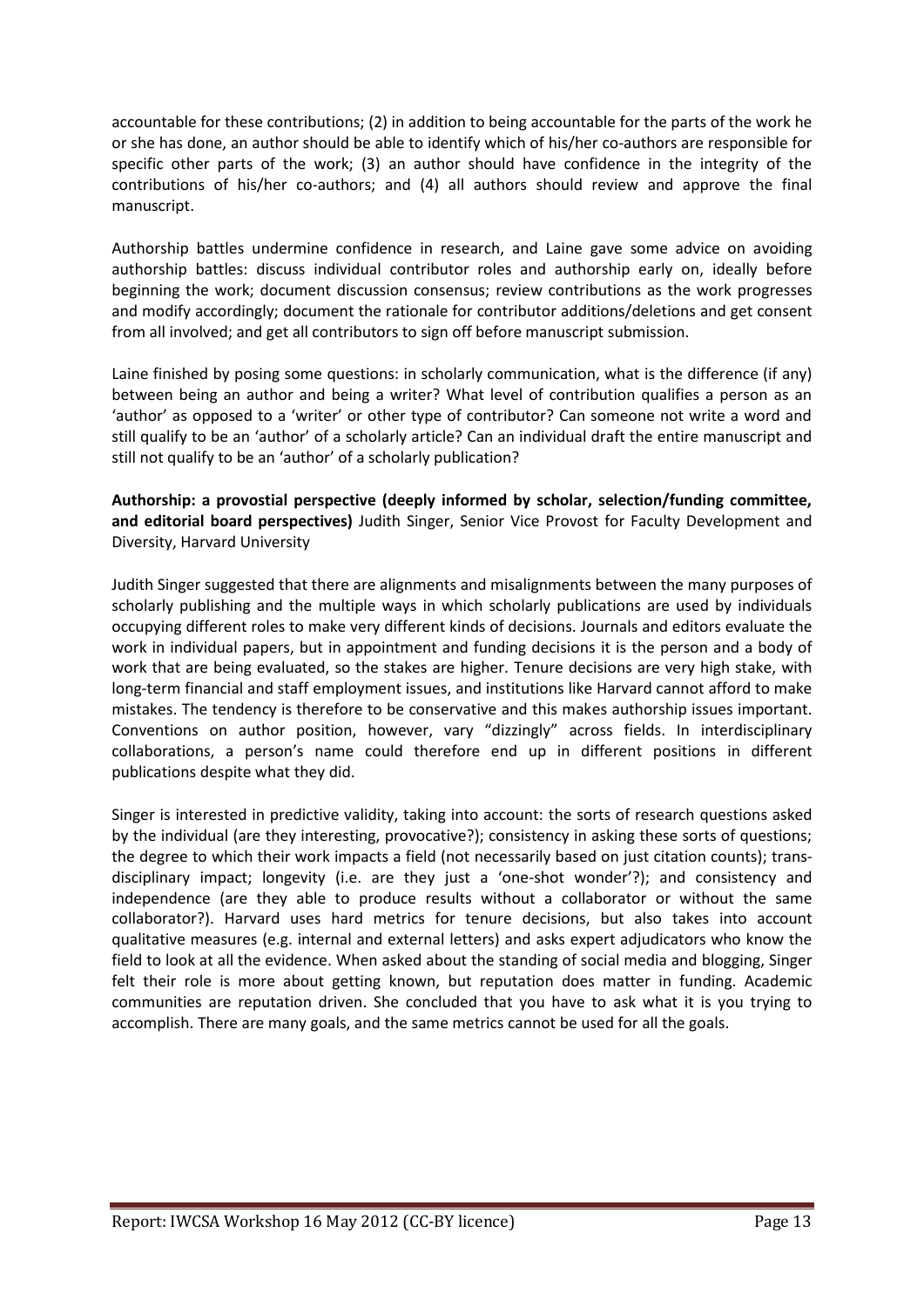accountable for these contributions; (2) in addition to being accountable for the parts of the work he or she has done, an author should be able to identify which of his/her co-authors are responsible for specific other parts of the work; (3) an author should have confidence in the integrity of the contributions of his/her co-authors; and (4) all authors should review and approve the final manuscript.

Authorship battles undermine confidence in research, and Laine gave some advice on avoiding authorship battles: discuss individual contributor roles and authorship early on, ideally before beginning the work; document discussion consensus; review contributions as the work progresses and modify accordingly; document the rationale for contributor additions/deletions and get consent from all involved; and get all contributors to sign off before manuscript submission.

Laine finished by posing some questions: in scholarly communication, what is the difference (if any) between being an author and being a writer? What level of contribution qualifies a person as an 'author' as opposed to a 'writer' or other type of contributor? Can someone not write a word and still qualify to be an 'author' of a scholarly article? Can an individual draft the entire manuscript and still not qualify to be an 'author' of a scholarly publication?

**Authorship: a provostial perspective (deeply informed by scholar, selection/funding committee, and editorial board perspectives)** [Judith Singer, Senior Vice Provost](http://isites.harvard.edu/icb/icb.do?keyword=singer&pageid=icb.page316200) for Faculty Development and [Diversity, Harvard University](http://isites.harvard.edu/icb/icb.do?keyword=singer&pageid=icb.page316200)

Judith Singer suggested that there are alignments and misalignments between the many purposes of scholarly publishing and the multiple ways in which scholarly publications are used by individuals occupying different roles to make very different kinds of decisions. Journals and editors evaluate the work in individual papers, but in appointment and funding decisions it is the person and a body of work that are being evaluated, so the stakes are higher. Tenure decisions are very high stake, with long-term financial and staff employment issues, and institutions like Harvard cannot afford to make mistakes. The tendency is therefore to be conservative and this makes authorship issues important. Conventions on author position, however, vary "dizzingly" across fields. In interdisciplinary collaborations, a person's name could therefore end up in different positions in different publications despite what they did.

Singer is interested in predictive validity, taking into account: the sorts of research questions asked by the individual (are they interesting, provocative?); consistency in asking these sorts of questions; the degree to which their work impacts a field (not necessarily based on just citation counts); transdisciplinary impact; longevity (i.e. are they just a 'one-shot wonder'?); and consistency and independence (are they able to produce results without a collaborator or without the same collaborator?). Harvard uses hard metrics for tenure decisions, but also takes into account qualitative measures (e.g. internal and external letters) and asks expert adjudicators who know the field to look at all the evidence. When asked about the standing of social media and blogging, Singer felt their role is more about getting known, but reputation does matter in funding. Academic communities are reputation driven. She concluded that you have to ask what it is you trying to accomplish. There are many goals, and the same metrics cannot be used for all the goals.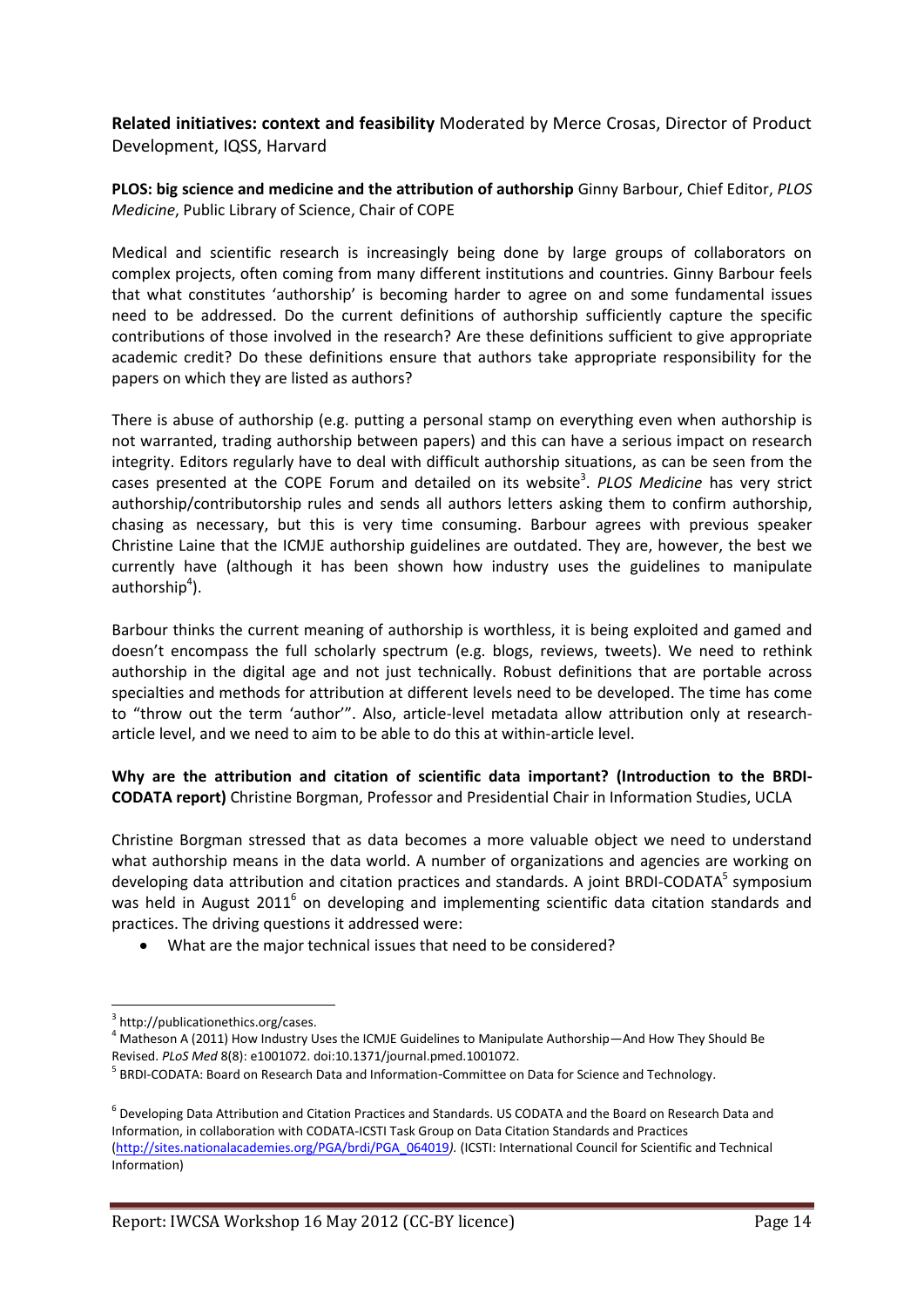**Related initiatives: context and feasibility** Moderated by [Merce Crosas, Director of Product](http://www.iq.harvard.edu/people/merce_crosas)  [Development, IQSS,](http://www.iq.harvard.edu/people/merce_crosas) Harvard

**PLOS: big science and medicine and the attribution of authorship** Ginny Barbour, Chief Editor, *PLOS Medicine*, Public Library of Science, Chair of COPE

Medical and scientific research is increasingly being done by large groups of collaborators on complex projects, often coming from many different institutions and countries. Ginny Barbour feels that what constitutes 'authorship' is becoming harder to agree on and some fundamental issues need to be addressed. Do the current definitions of authorship sufficiently capture the specific contributions of those involved in the research? Are these definitions sufficient to give appropriate academic credit? Do these definitions ensure that authors take appropriate responsibility for the papers on which they are listed as authors?

There is abuse of authorship (e.g. putting a personal stamp on everything even when authorship is not warranted, trading authorship between papers) and this can have a serious impact on research integrity. Editors regularly have to deal with difficult authorship situations, as can be seen from the cases presented at the COPE Forum and detailed on its website<sup>3</sup>. PLOS Medicine has very strict authorship/contributorship rules and sends all authors letters asking them to confirm authorship, chasing as necessary, but this is very time consuming. Barbour agrees with previous speaker Christine Laine that the ICMJE authorship guidelines are outdated. They are, however, the best we currently have (although it has been shown how industry uses the guidelines to manipulate authorship<sup>4</sup>).

Barbour thinks the current meaning of authorship is worthless, it is being exploited and gamed and doesn't encompass the full scholarly spectrum (e.g. blogs, reviews, tweets). We need to rethink authorship in the digital age and not just technically. Robust definitions that are portable across specialties and methods for attribution at different levels need to be developed. The time has come to "throw out the term 'author'". Also, article-level metadata allow attribution only at researcharticle level, and we need to aim to be able to do this at within-article level.

**Why are the attribution and citation of scientific data important? (Introduction to the BRDI-CODATA report)** [Christine Borgman, Professor and Presidential Chair in Information Studies, UCLA](http://polaris.gseis.ucla.edu/cborgman/Chriss_Site/Welcome.html)

Christine Borgman stressed that as data becomes a more valuable object we need to understand what authorship means in the data world. A number of organizations and agencies are working on developing data attribution and citation practices and standards. A joint BRDI-CODATA<sup>5</sup> symposium was held in August 2011<sup>6</sup> on developing and implementing scientific data citation standards and practices. The driving questions it addressed were:

What are the major technical issues that need to be considered?

**.** 

<sup>3</sup> http://publicationethics.org/cases.

 $4$  Matheson A (2011) How Industry Uses the ICMJE Guidelines to Manipulate Authorship—And How They Should Be Revised. *PLoS Med* 8(8): e1001072. doi:10.1371/journal.pmed.1001072.

<sup>&</sup>lt;sup>5</sup> BRDI-CODATA: Board on Research Data and Information-Committee on Data for Science and Technology.

<sup>6</sup> Developing Data Attribution and Citation Practices and Standards. US CODATA and the Board on Research Data and Information, in collaboration with CODATA-ICSTI Task Group on Data Citation Standards and Practices [\(http://sites.nationalacademies.org/PGA/brdi/PGA\\_064019](http://sites.nationalacademies.org/PGA/brdi/PGA_064019)*).* (ICSTI: International Council for Scientific and Technical Information)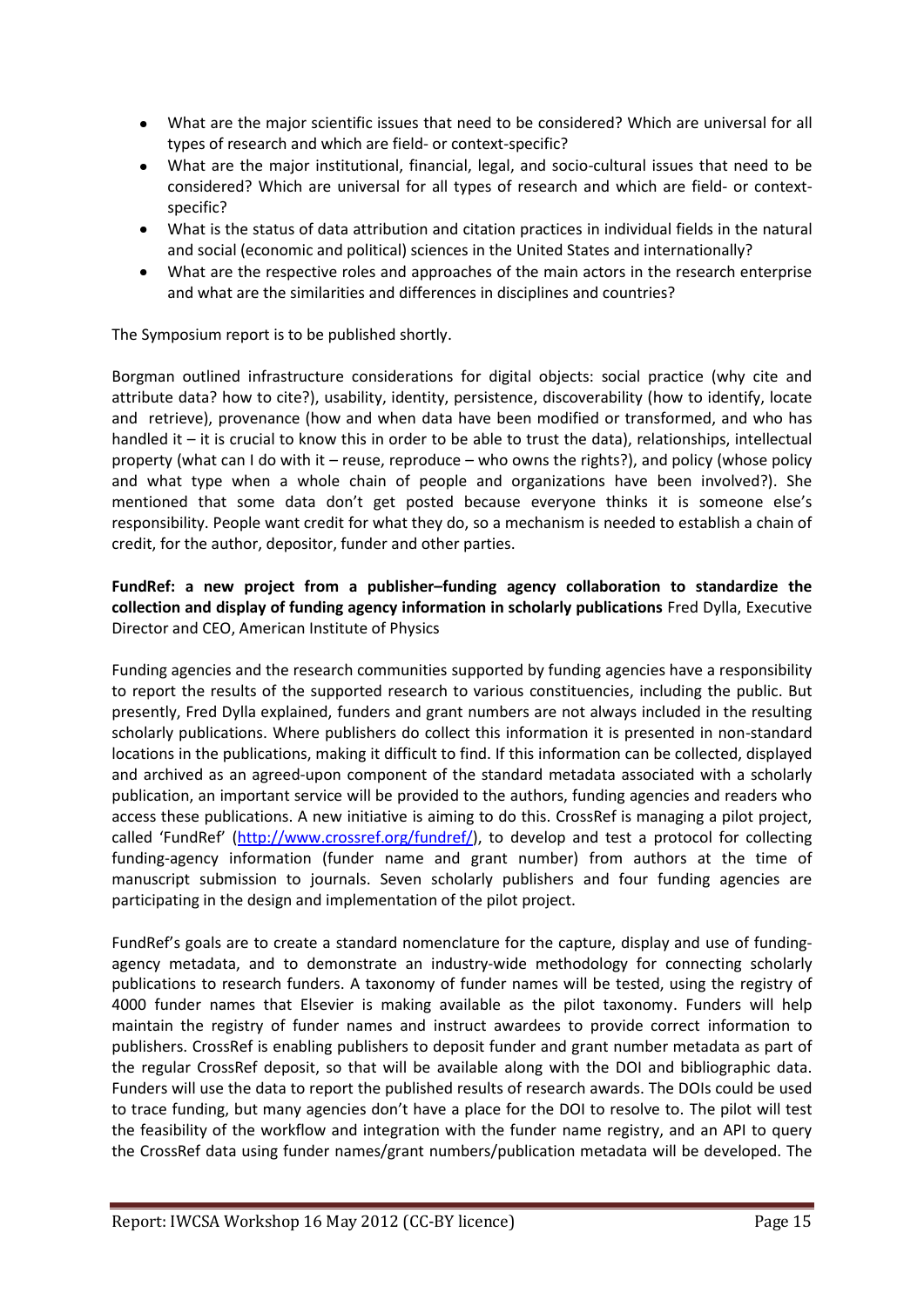- What are the major scientific issues that need to be considered? Which are universal for all types of research and which are field- or context-specific?
- What are the major institutional, financial, legal, and socio-cultural issues that need to be  $\bullet$ considered? Which are universal for all types of research and which are field- or contextspecific?
- What is the status of data attribution and citation practices in individual fields in the natural and social (economic and political) sciences in the United States and internationally?
- What are the respective roles and approaches of the main actors in the research enterprise and what are the similarities and differences in disciplines and countries?

The Symposium report is to be published shortly.

Borgman outlined infrastructure considerations for digital objects: social practice (why cite and attribute data? how to cite?), usability, identity, persistence, discoverability (how to identify, locate and retrieve), provenance (how and when data have been modified or transformed, and who has handled it – it is crucial to know this in order to be able to trust the data), relationships, intellectual property (what can I do with it – reuse, reproduce – who owns the rights?), and policy (whose policy and what type when a whole chain of people and organizations have been involved?). She mentioned that some data don't get posted because everyone thinks it is someone else's responsibility. People want credit for what they do, so a mechanism is needed to establish a chain of credit, for the author, depositor, funder and other parties.

# **FundRef: a new project from a publisher–funding agency collaboration to standardize the collection and display of funding agency information in scholarly publications** [Fred Dylla, Executive](http://www.aip.org/aip/dylla.html)  [Director and CEO, American Institute of Physics](http://www.aip.org/aip/dylla.html)

Funding agencies and the research communities supported by funding agencies have a responsibility to report the results of the supported research to various constituencies, including the public. But presently, Fred Dylla explained, funders and grant numbers are not always included in the resulting scholarly publications. Where publishers do collect this information it is presented in non-standard locations in the publications, making it difficult to find. If this information can be collected, displayed and archived as an agreed-upon component of the standard metadata associated with a scholarly publication, an important service will be provided to the authors, funding agencies and readers who access these publications. A new initiative is aiming to do this. CrossRef is managing a pilot project, called 'FundRef' [\(http://www.crossref.org/fundref/\)](http://www.crossref.org/fundref/), to develop and test a protocol for collecting funding-agency information (funder name and grant number) from authors at the time of manuscript submission to journals. Seven scholarly publishers and four funding agencies are participating in the design and implementation of the pilot project.

FundRef's goals are to create a standard nomenclature for the capture, display and use of fundingagency metadata, and to demonstrate an industry-wide methodology for connecting scholarly publications to research funders. A taxonomy of funder names will be tested, using the registry of 4000 funder names that Elsevier is making available as the pilot taxonomy. Funders will help maintain the registry of funder names and instruct awardees to provide correct information to publishers. CrossRef is enabling publishers to deposit funder and grant number metadata as part of the regular CrossRef deposit, so that will be available along with the DOI and bibliographic data. Funders will use the data to report the published results of research awards. The DOIs could be used to trace funding, but many agencies don't have a place for the DOI to resolve to. The pilot will test the feasibility of the workflow and integration with the funder name registry, and an API to query the CrossRef data using funder names/grant numbers/publication metadata will be developed. The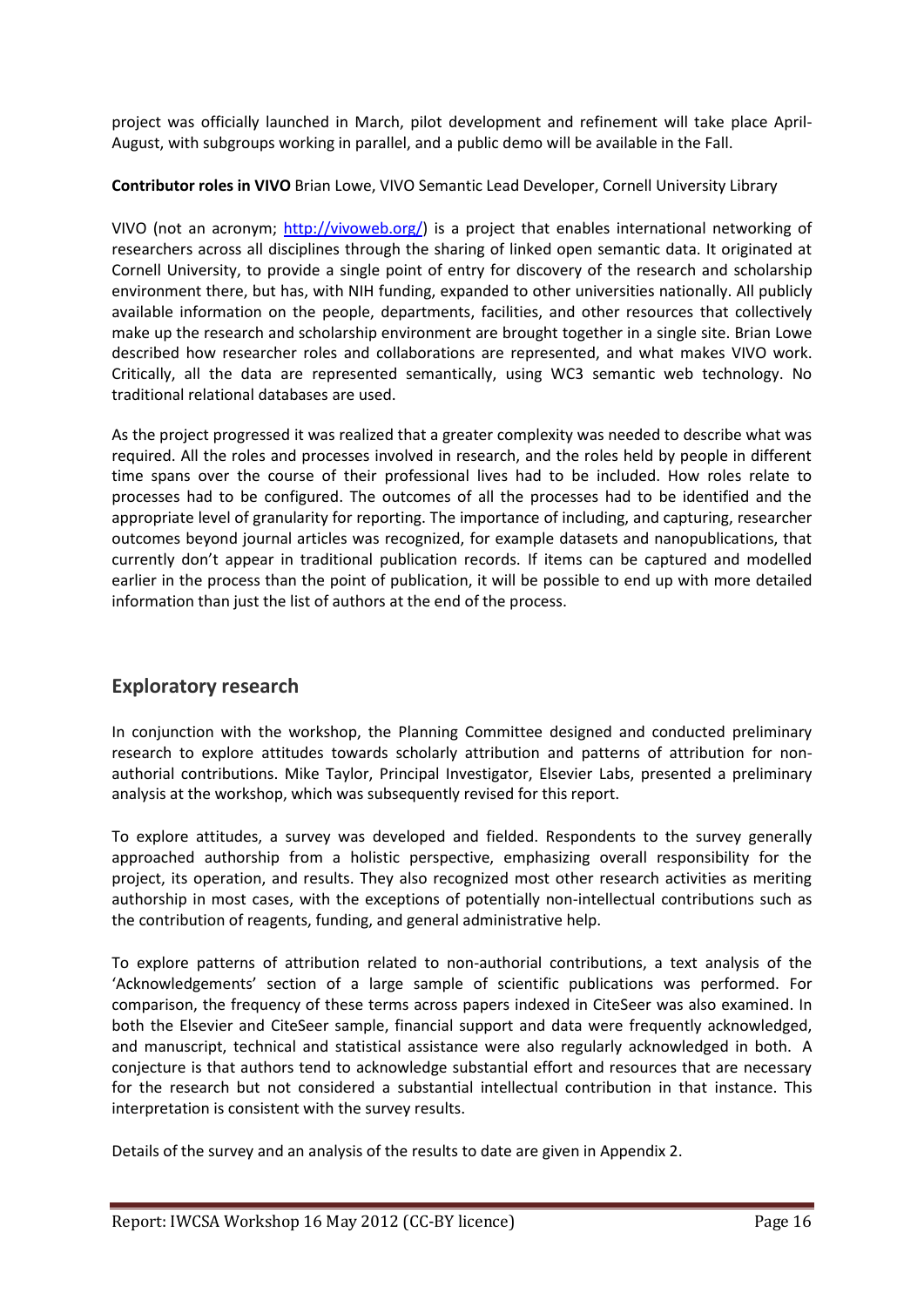project was officially launched in March, pilot development and refinement will take place April-August, with subgroups working in parallel, and a public demo will be available in the Fall.

**Contributor roles in VIVO** [Brian Lowe, VIVO Semantic Lead Developer, Cornell University Library](http://vivo.cornell.edu/display/individual24052)

VIVO (not an acronym; [http://vivoweb.org/\)](http://vivoweb.org/) is a project that enables international networking of researchers across all disciplines through the sharing of linked open semantic data. It originated at Cornell University, to provide a single point of entry for discovery of the research and scholarship environment there, but has, with NIH funding, expanded to other universities nationally. All publicly available information on the people, departments, facilities, and other resources that collectively make up the research and scholarship environment are brought together in a single site. Brian Lowe described how researcher roles and collaborations are represented, and what makes VIVO work. Critically, all the data are represented semantically, using WC3 semantic web technology. No traditional relational databases are used.

As the project progressed it was realized that a greater complexity was needed to describe what was required. All the roles and processes involved in research, and the roles held by people in different time spans over the course of their professional lives had to be included. How roles relate to processes had to be configured. The outcomes of all the processes had to be identified and the appropriate level of granularity for reporting. The importance of including, and capturing, researcher outcomes beyond journal articles was recognized, for example datasets and nanopublications, that currently don't appear in traditional publication records. If items can be captured and modelled earlier in the process than the point of publication, it will be possible to end up with more detailed information than just the list of authors at the end of the process.

# **Exploratory research**

In conjunction with the workshop, the Planning Committee designed and conducted preliminary research to explore attitudes towards scholarly attribution and patterns of attribution for nonauthorial contributions. [Mike Taylor, Principal Investigator, Elsevier Labs,](http://uniqueids.org/mike-taylor/) presented a preliminary analysis at the workshop, which was subsequently revised for this report.

To explore attitudes, a survey was developed and fielded. Respondents to the survey generally approached authorship from a holistic perspective, emphasizing overall responsibility for the project, its operation, and results. They also recognized most other research activities as meriting authorship in most cases, with the exceptions of potentially non-intellectual contributions such as the contribution of reagents, funding, and general administrative help.

To explore patterns of attribution related to non-authorial contributions, a text analysis of the 'Acknowledgements' section of a large sample of scientific publications was performed. For comparison, the frequency of these terms across papers indexed in CiteSeer was also examined. In both the Elsevier and CiteSeer sample, financial support and data were frequently acknowledged, and manuscript, technical and statistical assistance were also regularly acknowledged in both. A conjecture is that authors tend to acknowledge substantial effort and resources that are necessary for the research but not considered a substantial intellectual contribution in that instance. This interpretation is consistent with the survey results.

Details of the survey and an analysis of the results to date are given in Appendix 2.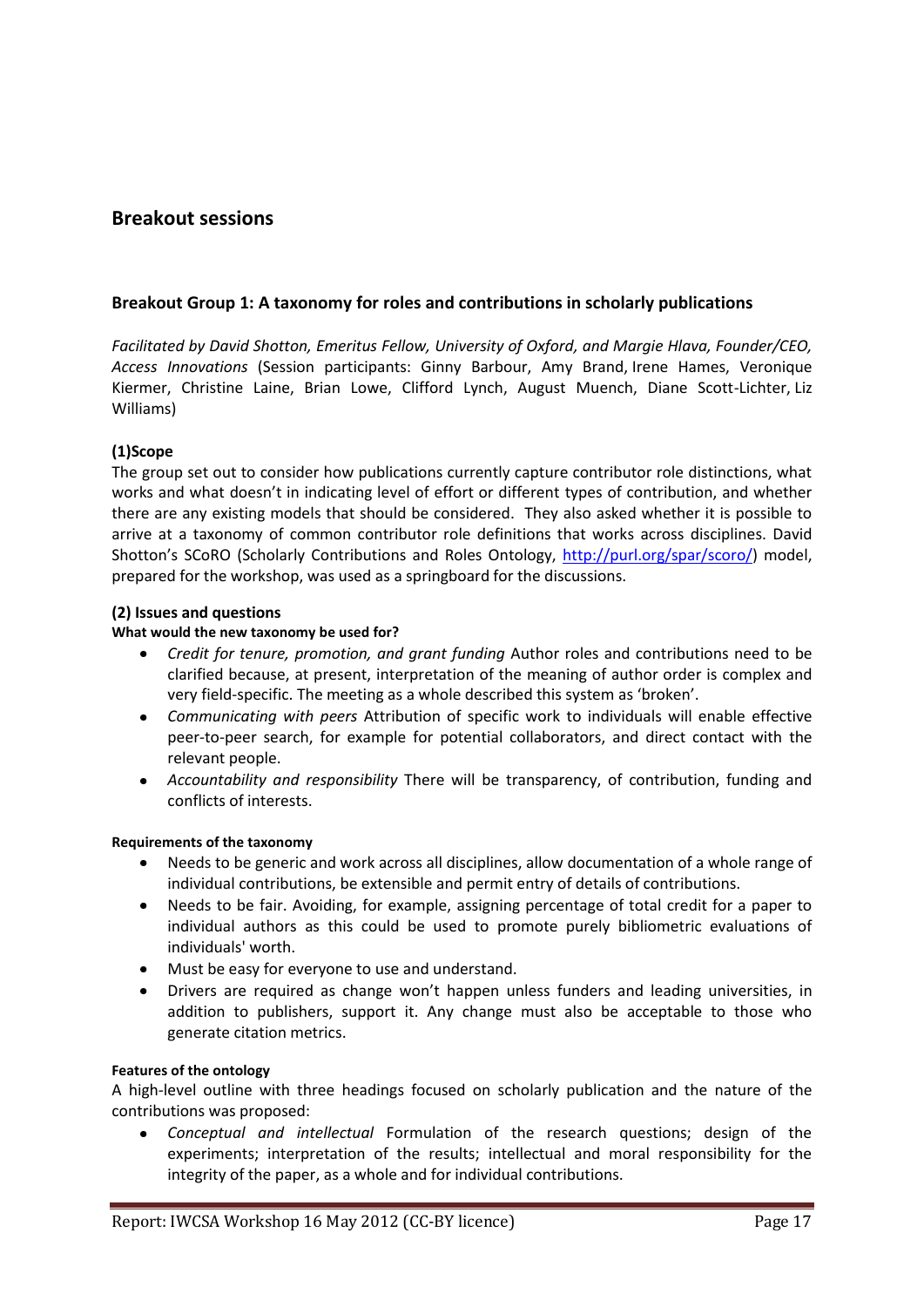# **Breakout sessions**

#### **Breakout Group 1: A taxonomy for roles and contributions in scholarly publications**

*Facilitated by [David Shotton, Emeritus Fellow, University of Oxford,](http://www.zoo.ox.ac.uk/staff/academics/shotton_dm.htm) and [Margie Hlava, Founder/CEO,](http://www.accessinn.com/library/news/12-03-13-founder-ceo-of-access-innovations-receives-award.html)  [Access Innovations](http://www.accessinn.com/library/news/12-03-13-founder-ceo-of-access-innovations-receives-award.html)* (Session participants: Ginny Barbour, Amy Brand, Irene Hames, Veronique Kiermer, Christine Laine, Brian Lowe, Clifford Lynch, August Muench, Diane Scott-Lichter, Liz Williams)

#### **(1)Scope**

The group set out to consider how publications currently capture contributor role distinctions, what works and what doesn't in indicating level of effort or different types of contribution, and whether there are any existing models that should be considered. They also asked whether it is possible to arrive at a taxonomy of common contributor role definitions that works across disciplines. David Shotton's SCoRO (Scholarly Contributions and Roles Ontology, [http://purl.org/spar/scoro/\)](http://purl.org/spar/scoro/) model, prepared for the workshop, was used as a springboard for the discussions.

#### **(2) Issues and questions**

#### **What would the new taxonomy be used for?**

- *Credit for tenure, promotion, and grant funding* Author roles and contributions need to be  $\bullet$ clarified because, at present, interpretation of the meaning of author order is complex and very field-specific. The meeting as a whole described this system as 'broken'.
- *Communicating with peers* Attribution of specific work to individuals will enable effective peer-to-peer search, for example for potential collaborators, and direct contact with the relevant people.
- *Accountability and responsibility* There will be transparency, of contribution, funding and conflicts of interests.

#### **Requirements of the taxonomy**

- Needs to be generic and work across all disciplines, allow documentation of a whole range of  $\bullet$ individual contributions, be extensible and permit entry of details of contributions.
- Needs to be fair. Avoiding, for example, assigning percentage of total credit for a paper to individual authors as this could be used to promote purely bibliometric evaluations of individuals' worth.
- Must be easy for everyone to use and understand.  $\bullet$
- Drivers are required as change won't happen unless funders and leading universities, in addition to publishers, support it. Any change must also be acceptable to those who generate citation metrics.

#### **Features of the ontology**

A high-level outline with three headings focused on scholarly publication and the nature of the contributions was proposed:

*Conceptual and intellectual* Formulation of the research questions; design of the experiments; interpretation of the results; intellectual and moral responsibility for the integrity of the paper, as a whole and for individual contributions.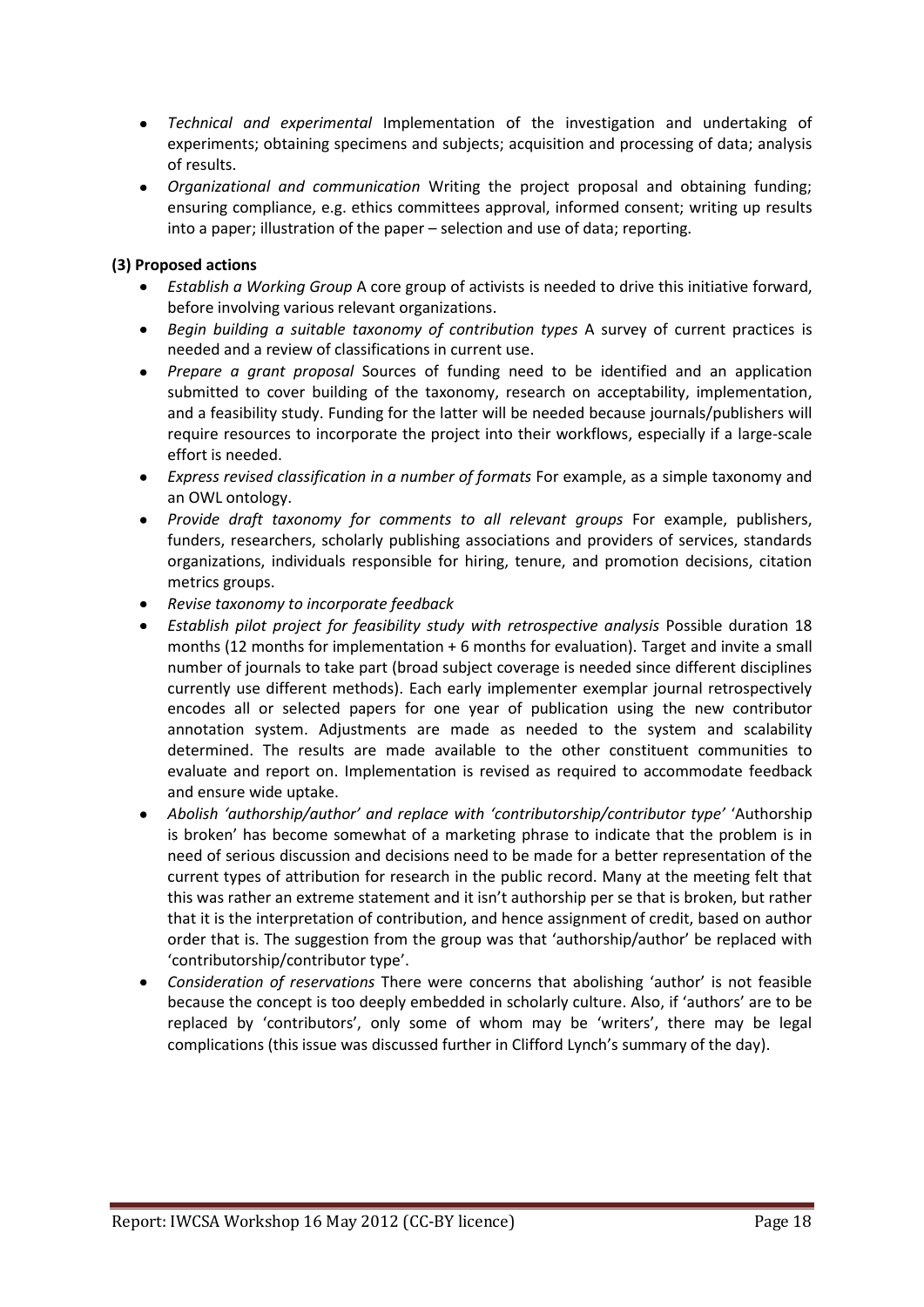- *Technical and experimental* Implementation of the investigation and undertaking of experiments; obtaining specimens and subjects; acquisition and processing of data; analysis of results.
- *Organizational and communication* Writing the project proposal and obtaining funding; ensuring compliance, e.g. ethics committees approval, informed consent; writing up results into a paper; illustration of the paper – selection and use of data; reporting.

# **(3) Proposed actions**

- *Establish a Working Group* A core group of activists is needed to drive this initiative forward, before involving various relevant organizations.
- *Begin building a suitable taxonomy of contribution types* A survey of current practices is needed and a review of classifications in current use.
- *Prepare a grant proposal* Sources of funding need to be identified and an application submitted to cover building of the taxonomy, research on acceptability, implementation, and a feasibility study. Funding for the latter will be needed because journals/publishers will require resources to incorporate the project into their workflows, especially if a large-scale effort is needed.
- *Express revised classification in a number of formats* For example, as a simple taxonomy and an OWL ontology.
- *Provide draft taxonomy for comments to all relevant groups* For example, publishers, funders, researchers, scholarly publishing associations and providers of services, standards organizations, individuals responsible for hiring, tenure, and promotion decisions, citation metrics groups.
- *Revise taxonomy to incorporate feedback*
- *Establish pilot project for feasibility study with retrospective analysis* Possible duration 18 months (12 months for implementation + 6 months for evaluation). Target and invite a small number of journals to take part (broad subject coverage is needed since different disciplines currently use different methods). Each early implementer exemplar journal retrospectively encodes all or selected papers for one year of publication using the new contributor annotation system. Adjustments are made as needed to the system and scalability determined. The results are made available to the other constituent communities to evaluate and report on. Implementation is revised as required to accommodate feedback and ensure wide uptake.
- *Abolish 'authorship/author' and replace with 'contributorship/contributor type'* 'Authorship is broken' has become somewhat of a marketing phrase to indicate that the problem is in need of serious discussion and decisions need to be made for a better representation of the current types of attribution for research in the public record. Many at the meeting felt that this was rather an extreme statement and it isn't authorship per se that is broken, but rather that it is the interpretation of contribution, and hence assignment of credit, based on author order that is. The suggestion from the group was that 'authorship/author' be replaced with 'contributorship/contributor type'.
- *Consideration of reservations* There were concerns that abolishing 'author' is not feasible  $\bullet$ because the concept is too deeply embedded in scholarly culture. Also, if 'authors' are to be replaced by 'contributors', only some of whom may be 'writers', there may be legal complications (this issue was discussed further in Clifford Lynch's summary of the day).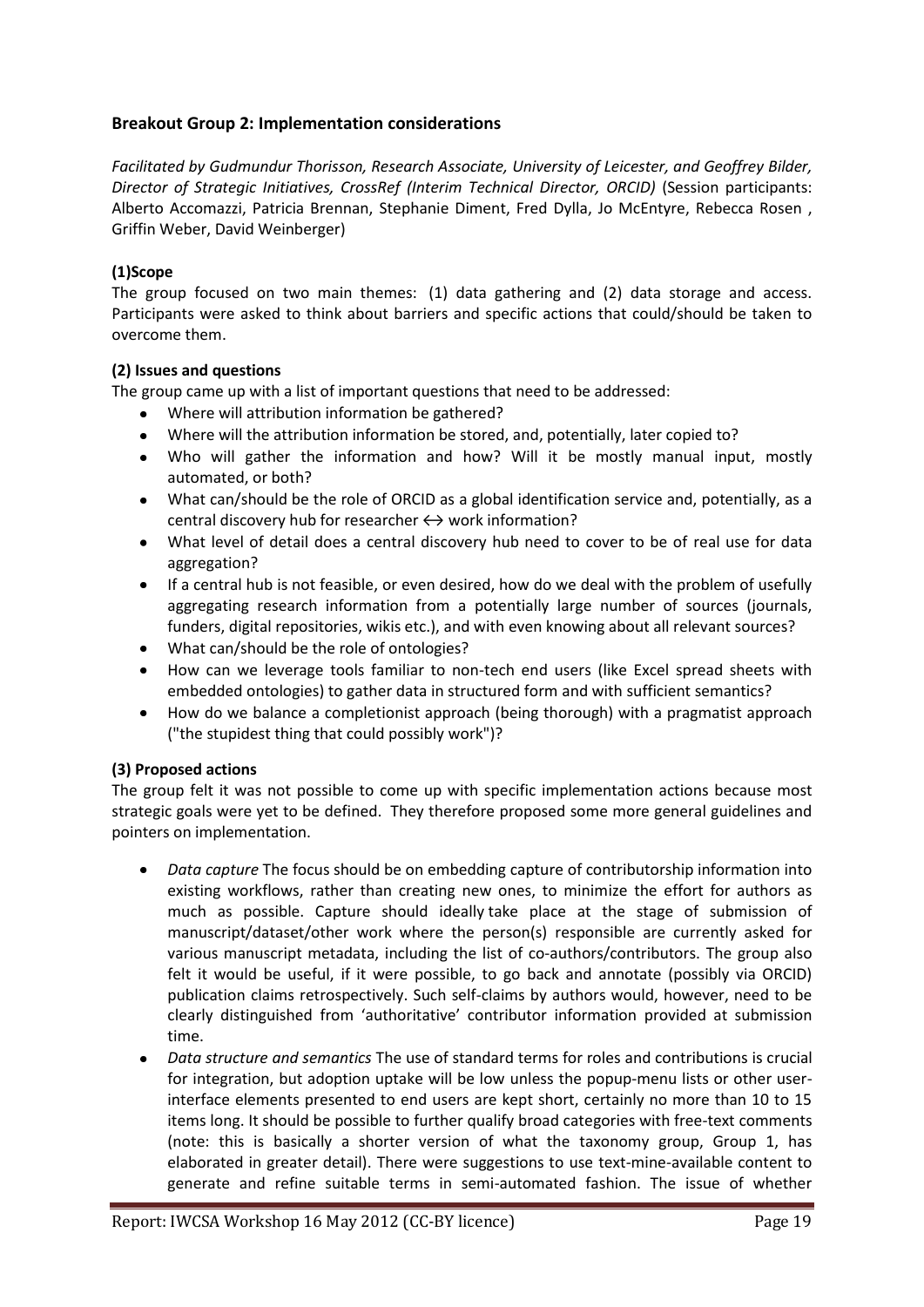# **Breakout Group 2: Implementation considerations**

*Facilitated by [Gudmundur Thorisson, Research Associate, University of Leicester,](http://www.mendeley.com/profiles/gudmundur-thorisson/) and [Geoffrey Bilder,](https://www.resourcenter.net/Scripts/4Disapi2.dll/4DCGI/events/speakerbio.html?Action=SpeakerBio&Time=-452470645&SpeakerID_W=2912)  [Director of Strategic Initiatives, CrossRef](https://www.resourcenter.net/Scripts/4Disapi2.dll/4DCGI/events/speakerbio.html?Action=SpeakerBio&Time=-452470645&SpeakerID_W=2912) (Interim Technical Director, ORCID)* (Session participants: Alberto Accomazzi, Patricia Brennan, Stephanie Diment, Fred Dylla, Jo McEntyre, Rebecca Rosen , Griffin Weber, David Weinberger)

# **(1)Scope**

The group focused on two main themes: (1) data gathering and (2) data storage and access. Participants were asked to think about barriers and specific actions that could/should be taken to overcome them.

#### **(2) Issues and questions**

The group came up with a list of important questions that need to be addressed:

- Where will attribution information be gathered?
- Where will the attribution information be stored, and, potentially, later copied to?
- $\bullet$ Who will gather the information and how? Will it be mostly manual input, mostly automated, or both?
- What can/should be the role of ORCID as a global identification service and, potentially, as a central discovery hub for researcher  $\leftrightarrow$  work information?
- What level of detail does a central discovery hub need to cover to be of real use for data  $\bullet$ aggregation?
- If a central hub is not feasible, or even desired, how do we deal with the problem of usefully  $\bullet$ aggregating research information from a potentially large number of sources (journals, funders, digital repositories, wikis etc.), and with even knowing about all relevant sources?
- What can/should be the role of ontologies?
- How can we leverage tools familiar to non-tech end users (like Excel spread sheets with embedded ontologies) to gather data in structured form and with sufficient semantics?
- How do we balance a completionist approach (being thorough) with a pragmatist approach ("the stupidest thing that could possibly work")?

#### **(3) Proposed actions**

The group felt it was not possible to come up with specific implementation actions because most strategic goals were yet to be defined. They therefore proposed some more general guidelines and pointers on implementation.

- *Data capture* The focus should be on embedding capture of contributorship information into existing workflows, rather than creating new ones, to minimize the effort for authors as much as possible. Capture should ideally take place at the stage of submission of manuscript/dataset/other work where the person(s) responsible are currently asked for various manuscript metadata, including the list of co-authors/contributors. The group also felt it would be useful, if it were possible, to go back and annotate (possibly via ORCID) publication claims retrospectively. Such self-claims by authors would, however, need to be clearly distinguished from 'authoritative' contributor information provided at submission time.
- *Data structure and semantics* The use of standard terms for roles and contributions is crucial for integration, but adoption uptake will be low unless the popup-menu lists or other userinterface elements presented to end users are kept short, certainly no more than 10 to 15 items long. It should be possible to further qualify broad categories with free-text comments (note: this is basically a shorter version of what the taxonomy group, Group 1, has elaborated in greater detail). There were suggestions to use text-mine-available content to generate and refine suitable terms in semi-automated fashion. The issue of whether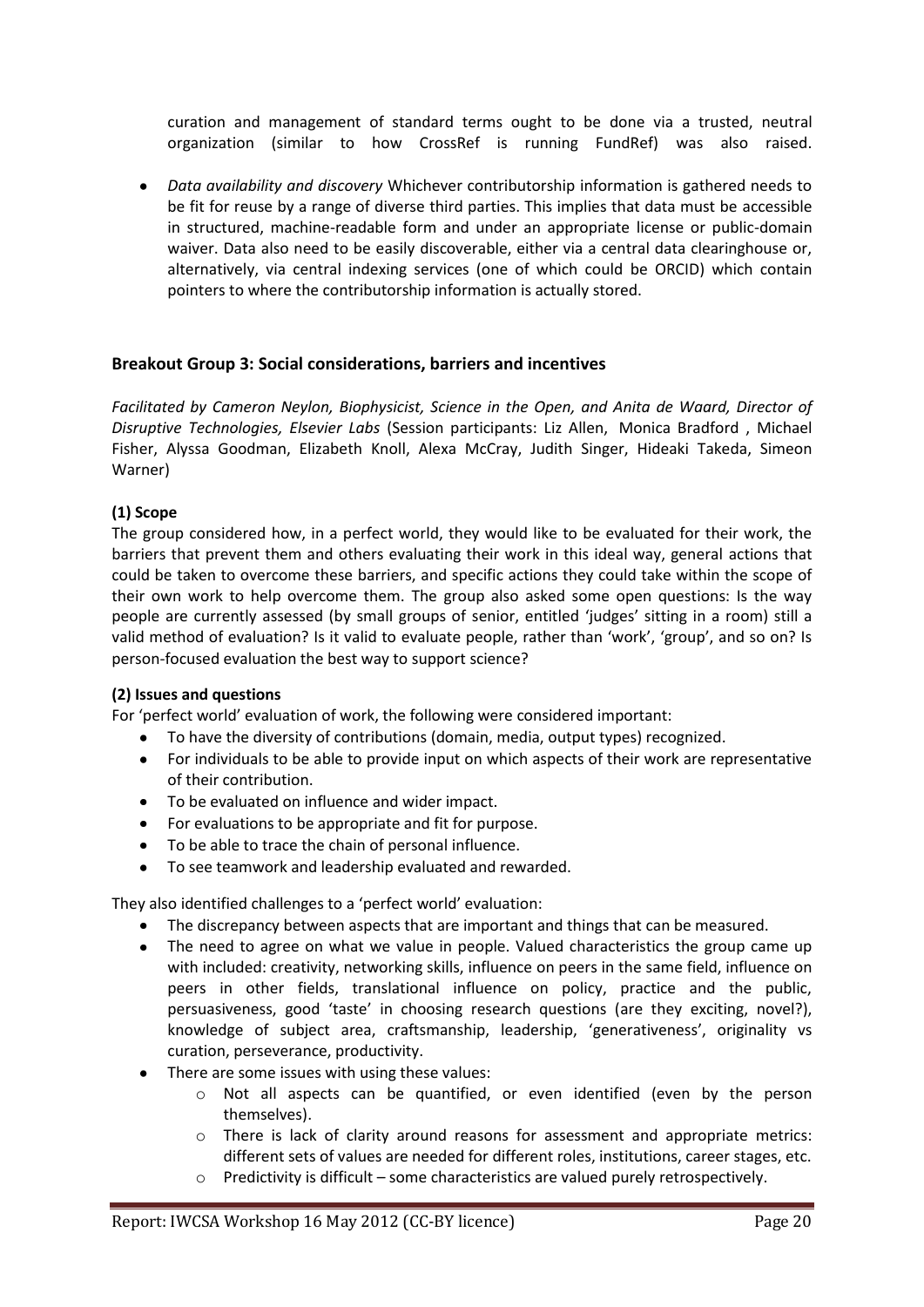curation and management of standard terms ought to be done via a trusted, neutral organization (similar to how CrossRef is running FundRef) was also raised.

*Data availability and discovery* Whichever contributorship information is gathered needs to  $\bullet$ be fit for reuse by a range of diverse third parties. This implies that data must be accessible in structured, machine-readable form and under an appropriate license or public-domain waiver. Data also need to be easily discoverable, either via a central data clearinghouse or, alternatively, via central indexing services (one of which could be ORCID) which contain pointers to where the contributorship information is actually stored.

# **Breakout Group 3: Social considerations, barriers and incentives**

*Facilitated by [Cameron Neylon, Biophysicist, Science in the Open,](http://cameronneylon.net/about/biographies/) and [Anita de Waard, Director of](http://elsatglabs.com/labs/anita/)  [Disruptive Technologies, Elsevier Labs](http://elsatglabs.com/labs/anita/)* (Session participants: Liz Allen, Monica Bradford , Michael Fisher, Alyssa Goodman, Elizabeth Knoll, Alexa McCray, Judith Singer, Hideaki Takeda, Simeon Warner)

# **(1) Scope**

The group considered how, in a perfect world, they would like to be evaluated for their work, the barriers that prevent them and others evaluating their work in this ideal way, general actions that could be taken to overcome these barriers, and specific actions they could take within the scope of their own work to help overcome them. The group also asked some open questions: Is the way people are currently assessed (by small groups of senior, entitled 'judges' sitting in a room) still a valid method of evaluation? Is it valid to evaluate people, rather than 'work', 'group', and so on? Is person-focused evaluation the best way to support science?

# **(2) Issues and questions**

For 'perfect world' evaluation of work, the following were considered important:

- To have the diversity of contributions (domain, media, output types) recognized.  $\bullet$
- $\bullet$ For individuals to be able to provide input on which aspects of their work are representative of their contribution.
- To be evaluated on influence and wider impact.
- For evaluations to be appropriate and fit for purpose.
- To be able to trace the chain of personal influence.
- To see teamwork and leadership evaluated and rewarded.

They also identified challenges to a 'perfect world' evaluation:

- The discrepancy between aspects that are important and things that can be measured.
- The need to agree on what we value in people. Valued characteristics the group came up  $\bullet$ with included: creativity, networking skills, influence on peers in the same field, influence on peers in other fields, translational influence on policy, practice and the public, persuasiveness, good 'taste' in choosing research questions (are they exciting, novel?), knowledge of subject area, craftsmanship, leadership, 'generativeness', originality vs curation, perseverance, productivity.
- There are some issues with using these values:
	- $\circ$  Not all aspects can be quantified, or even identified (even by the person themselves).
	- o There is lack of clarity around reasons for assessment and appropriate metrics: different sets of values are needed for different roles, institutions, career stages, etc.
	- $\circ$  Predictivity is difficult some characteristics are valued purely retrospectively.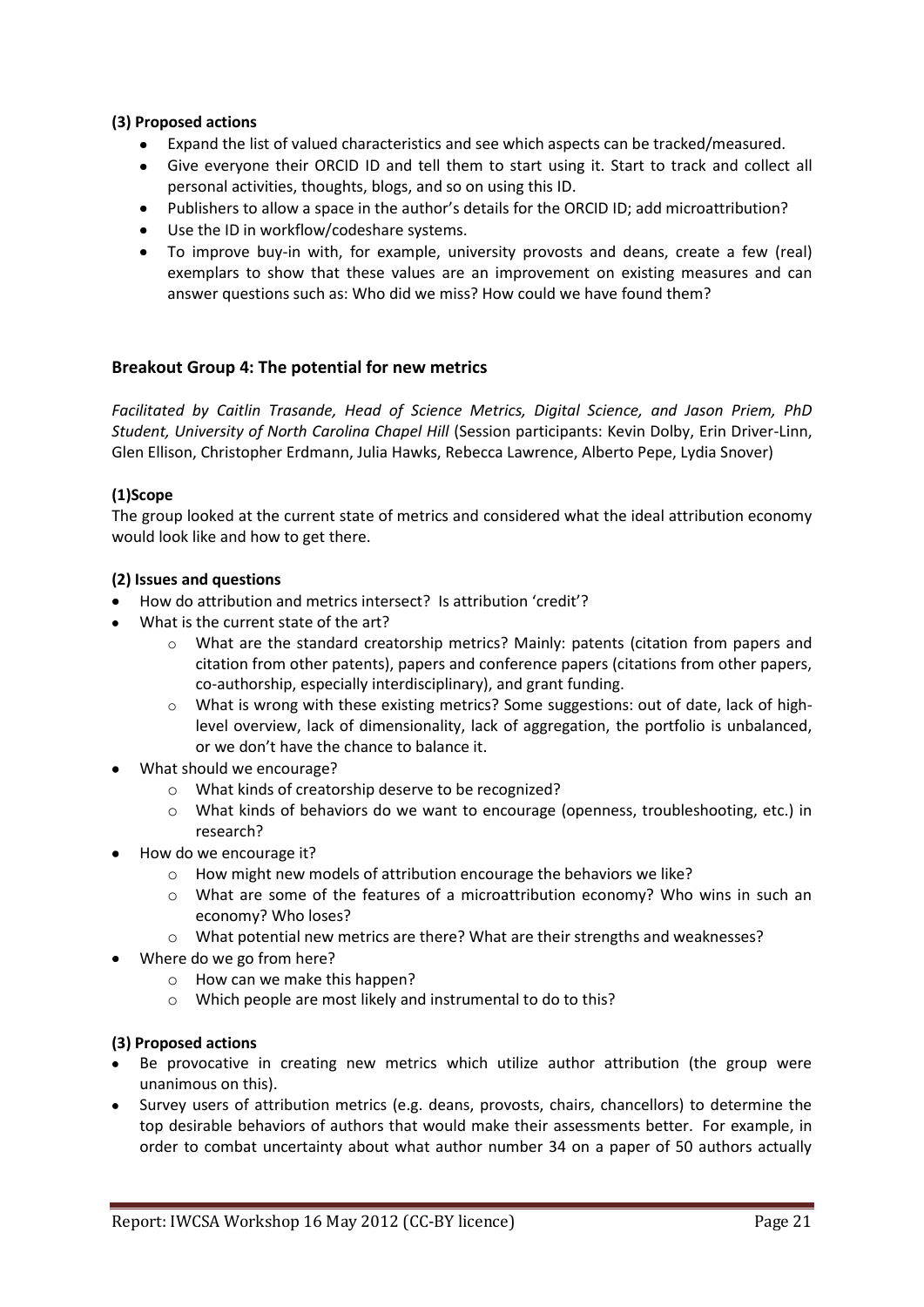# **(3) Proposed actions**

- Expand the list of valued characteristics and see which aspects can be tracked/measured.
- Give everyone their ORCID ID and tell them to start using it. Start to track and collect all  $\bullet$ personal activities, thoughts, blogs, and so on using this ID.
- Publishers to allow a space in the author's details for the ORCID ID; add microattribution?
- Use the ID in workflow/codeshare systems.
- To improve buy-in with, for example, university provosts and deans, create a few (real) exemplars to show that these values are an improvement on existing measures and can answer questions such as: Who did we miss? How could we have found them?

#### **Breakout Group 4: The potential for new metrics**

*Facilitated by Caitlin Trasande, Head of [Science Metrics, Digital Science,](http://www.digital-science.com/caitlin-trasande/) and [Jason Priem, PhD](http://jasonpriem.org/)  [Student, University of North Carolina Chapel Hill](http://jasonpriem.org/)* (Session participants: Kevin Dolby, Erin Driver-Linn, Glen Ellison, Christopher Erdmann, Julia Hawks, Rebecca Lawrence, Alberto Pepe, Lydia Snover)

#### **(1)Scope**

The group looked at the current state of metrics and considered what the ideal attribution economy would look like and how to get there.

#### **(2) Issues and questions**

- How do attribution and metrics intersect? Is attribution 'credit'?
- What is the current state of the art?
	- $\circ$  What are the standard creatorship metrics? Mainly: patents (citation from papers and citation from other patents), papers and conference papers (citations from other papers, co-authorship, especially interdisciplinary), and grant funding.
	- $\circ$  What is wrong with these existing metrics? Some suggestions: out of date, lack of highlevel overview, lack of dimensionality, lack of aggregation, the portfolio is unbalanced, or we don't have the chance to balance it.
- What should we encourage?
	- o What kinds of creatorship deserve to be recognized?
	- $\circ$  What kinds of behaviors do we want to encourage (openness, troubleshooting, etc.) in research?
- How do we encourage it?
	- o How might new models of attribution encourage the behaviors we like?
	- o What are some of the features of a microattribution economy? Who wins in such an economy? Who loses?
	- o What potential new metrics are there? What are their strengths and weaknesses?
- Where do we go from here?
	- o How can we make this happen?
	- o Which people are most likely and instrumental to do to this?

#### **(3) Proposed actions**

- Be provocative in creating new metrics which utilize author attribution (the group were unanimous on this).
- Survey users of attribution metrics (e.g. deans, provosts, chairs, chancellors) to determine the top desirable behaviors of authors that would make their assessments better. For example, in order to combat uncertainty about what author number 34 on a paper of 50 authors actually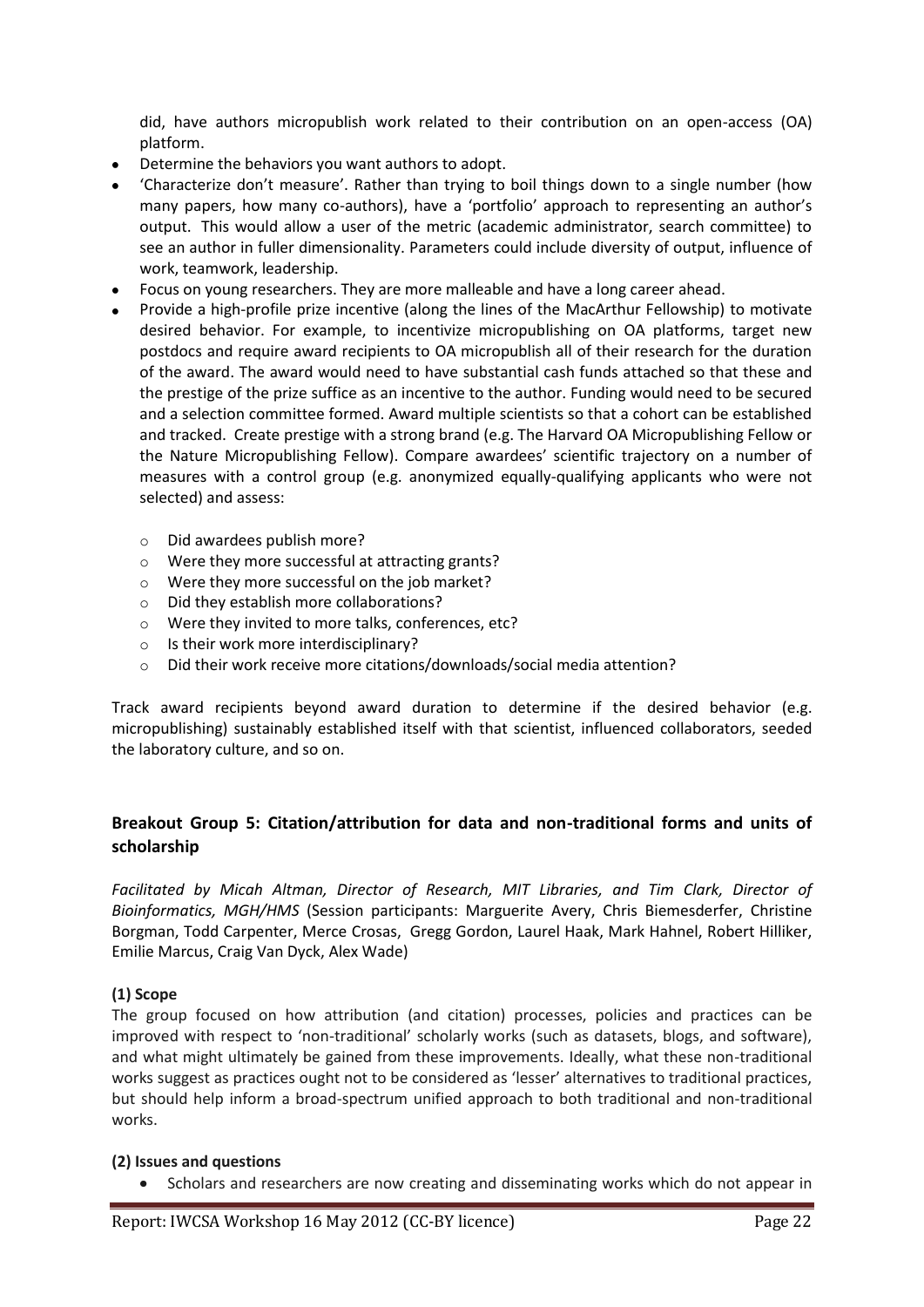did, have authors micropublish work related to their contribution on an open-access (OA) platform.

- Determine the behaviors you want authors to adopt.
- 'Characterize don't measure'. Rather than trying to boil things down to a single number (how many papers, how many co-authors), have a 'portfolio' approach to representing an author's output. This would allow a user of the metric (academic administrator, search committee) to see an author in fuller dimensionality. Parameters could include diversity of output, influence of work, teamwork, leadership.
- Focus on young researchers. They are more malleable and have a long career ahead.
- Provide a high-profile prize incentive (along the lines of the MacArthur Fellowship) to motivate desired behavior. For example, to incentivize micropublishing on OA platforms, target new postdocs and require award recipients to OA micropublish all of their research for the duration of the award. The award would need to have substantial cash funds attached so that these and the prestige of the prize suffice as an incentive to the author. Funding would need to be secured and a selection committee formed. Award multiple scientists so that a cohort can be established and tracked. Create prestige with a strong brand (e.g. The Harvard OA Micropublishing Fellow or the Nature Micropublishing Fellow). Compare awardees' scientific trajectory on a number of measures with a control group (e.g. anonymized equally-qualifying applicants who were not selected) and assess:
	- o Did awardees publish more?
	- o Were they more successful at attracting grants?
	- o Were they more successful on the job market?
	- o Did they establish more collaborations?
	- o Were they invited to more talks, conferences, etc?
	- o Is their work more interdisciplinary?
	- o Did their work receive more citations/downloads/social media attention?

Track award recipients beyond award duration to determine if the desired behavior (e.g. micropublishing) sustainably established itself with that scientist, influenced collaborators, seeded the laboratory culture, and so on.

# **Breakout Group 5: Citation/attribution for data and non-traditional forms and units of scholarship**

*Facilitated by [Micah Altman, Director of Research, MIT Libraries,](http://www.futurelib.org/) and [Tim Clark, Director of](http://madrc.mgh.harvard.edu/timothy-w-clark-ms)  [Bioinformatics, MGH/HMS](http://madrc.mgh.harvard.edu/timothy-w-clark-ms)* (Session participants: Marguerite Avery, Chris Biemesderfer, Christine Borgman, Todd Carpenter, Merce Crosas, Gregg Gordon, Laurel Haak, Mark Hahnel, Robert Hilliker, Emilie Marcus, Craig Van Dyck, Alex Wade)

# **(1) Scope**

The group focused on how attribution (and citation) processes, policies and practices can be improved with respect to 'non-traditional' scholarly works (such as datasets, blogs, and software), and what might ultimately be gained from these improvements. Ideally, what these non-traditional works suggest as practices ought not to be considered as 'lesser' alternatives to traditional practices, but should help inform a broad-spectrum unified approach to both traditional and non-traditional works.

#### **(2) Issues and questions**

Scholars and researchers are now creating and disseminating works which do not appear in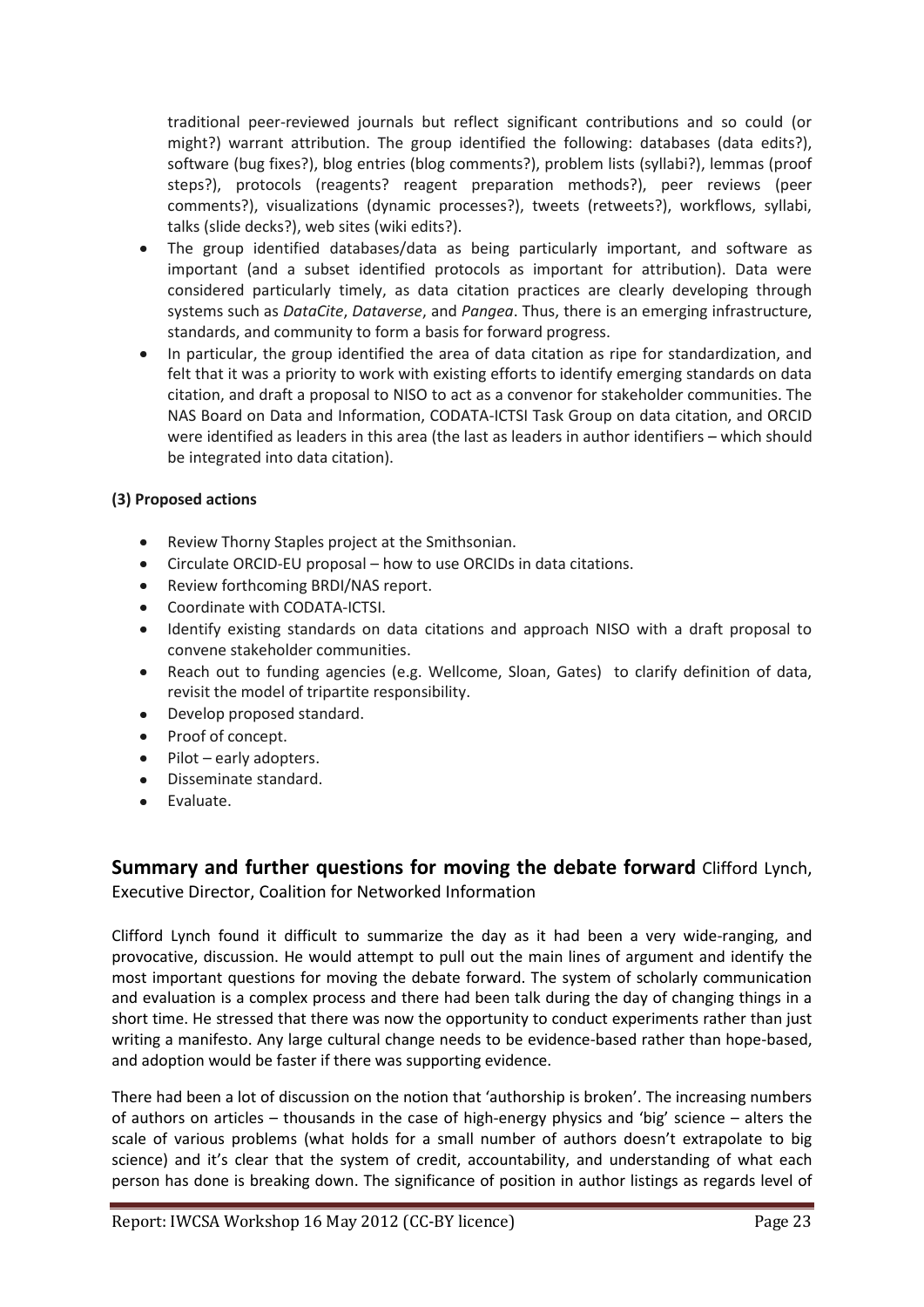traditional peer-reviewed journals but reflect significant contributions and so could (or might?) warrant attribution. The group identified the following: databases (data edits?), software (bug fixes?), blog entries (blog comments?), problem lists (syllabi?), lemmas (proof steps?), protocols (reagents? reagent preparation methods?), peer reviews (peer comments?), visualizations (dynamic processes?), tweets (retweets?), workflows, syllabi, talks (slide decks?), web sites (wiki edits?).

- The group identified databases/data as being particularly important, and software as important (and a subset identified protocols as important for attribution). Data were considered particularly timely, as data citation practices are clearly developing through systems such as *DataCite*, *Dataverse*, and *Pangea*. Thus, there is an emerging infrastructure, standards, and community to form a basis for forward progress.
- In particular, the group identified the area of data citation as ripe for standardization, and felt that it was a priority to work with existing efforts to identify emerging standards on data citation, and draft a proposal to NISO to act as a convenor for stakeholder communities. The NAS Board on Data and Information, CODATA-ICTSI Task Group on data citation, and ORCID were identified as leaders in this area (the last as leaders in author identifiers – which should be integrated into data citation).

# **(3) Proposed actions**

- Review Thorny Staples project at the Smithsonian.  $\bullet$
- Circulate ORCID-EU proposal how to use ORCIDs in data citations.  $\bullet$
- Review forthcoming BRDI/NAS report.  $\bullet$
- Coordinate with CODATA-ICTSI.
- Identify existing standards on data citations and approach NISO with a draft proposal to  $\bullet$ convene stakeholder communities.
- $\bullet$ Reach out to funding agencies (e.g. Wellcome, Sloan, Gates) to clarify definition of data, revisit the model of tripartite responsibility.
- Develop proposed standard.  $\bullet$
- Proof of concept.
- Pilot early adopters.  $\bullet$
- Disseminate standard.
- Evaluate.

# **Summary and further questions for moving the debate forward** [Clifford Lynch,](http://www.cni.org/about-cni/staff/clifford-a-lynch/)  [Executive Director, Coalition for Networked Information](http://www.cni.org/about-cni/staff/clifford-a-lynch/)

Clifford Lynch found it difficult to summarize the day as it had been a very wide-ranging, and provocative, discussion. He would attempt to pull out the main lines of argument and identify the most important questions for moving the debate forward. The system of scholarly communication and evaluation is a complex process and there had been talk during the day of changing things in a short time. He stressed that there was now the opportunity to conduct experiments rather than just writing a manifesto. Any large cultural change needs to be evidence-based rather than hope-based, and adoption would be faster if there was supporting evidence.

There had been a lot of discussion on the notion that 'authorship is broken'. The increasing numbers of authors on articles – thousands in the case of high-energy physics and 'big' science – alters the scale of various problems (what holds for a small number of authors doesn't extrapolate to big science) and it's clear that the system of credit, accountability, and understanding of what each person has done is breaking down. The significance of position in author listings as regards level of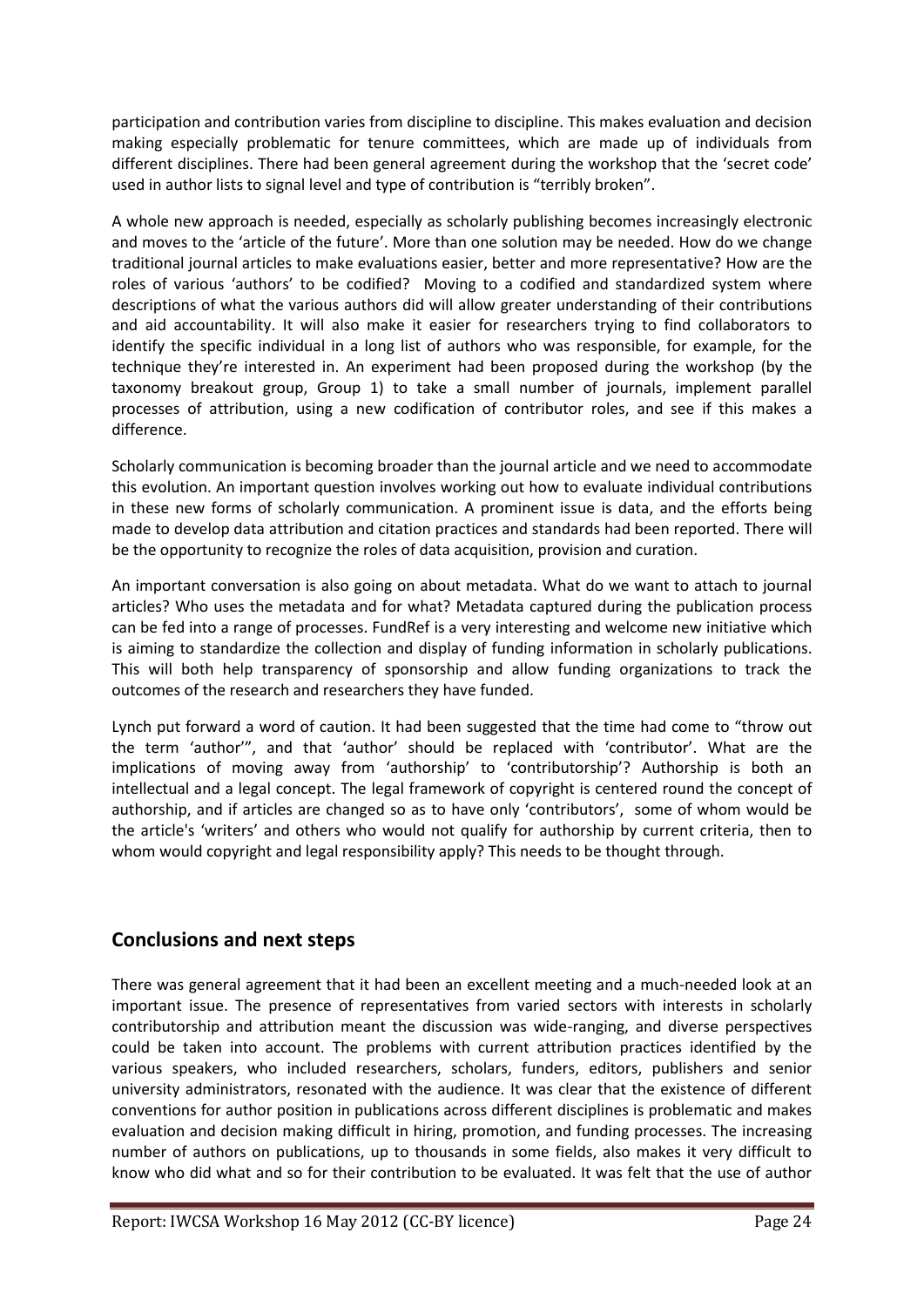participation and contribution varies from discipline to discipline. This makes evaluation and decision making especially problematic for tenure committees, which are made up of individuals from different disciplines. There had been general agreement during the workshop that the 'secret code' used in author lists to signal level and type of contribution is "terribly broken".

A whole new approach is needed, especially as scholarly publishing becomes increasingly electronic and moves to the 'article of the future'. More than one solution may be needed. How do we change traditional journal articles to make evaluations easier, better and more representative? How are the roles of various 'authors' to be codified? Moving to a codified and standardized system where descriptions of what the various authors did will allow greater understanding of their contributions and aid accountability. It will also make it easier for researchers trying to find collaborators to identify the specific individual in a long list of authors who was responsible, for example, for the technique they're interested in. An experiment had been proposed during the workshop (by the taxonomy breakout group, Group 1) to take a small number of journals, implement parallel processes of attribution, using a new codification of contributor roles, and see if this makes a difference.

Scholarly communication is becoming broader than the journal article and we need to accommodate this evolution. An important question involves working out how to evaluate individual contributions in these new forms of scholarly communication. A prominent issue is data, and the efforts being made to develop data attribution and citation practices and standards had been reported. There will be the opportunity to recognize the roles of data acquisition, provision and curation.

An important conversation is also going on about metadata. What do we want to attach to journal articles? Who uses the metadata and for what? Metadata captured during the publication process can be fed into a range of processes. FundRef is a very interesting and welcome new initiative which is aiming to standardize the collection and display of funding information in scholarly publications. This will both help transparency of sponsorship and allow funding organizations to track the outcomes of the research and researchers they have funded.

Lynch put forward a word of caution. It had been suggested that the time had come to "throw out the term 'author'", and that 'author' should be replaced with 'contributor'. What are the implications of moving away from 'authorship' to 'contributorship'? Authorship is both an intellectual and a legal concept. The legal framework of copyright is centered round the concept of authorship, and if articles are changed so as to have only 'contributors', some of whom would be the article's 'writers' and others who would not qualify for authorship by current criteria, then to whom would copyright and legal responsibility apply? This needs to be thought through.

# **Conclusions and next steps**

There was general agreement that it had been an excellent meeting and a much-needed look at an important issue. The presence of representatives from varied sectors with interests in scholarly contributorship and attribution meant the discussion was wide-ranging, and diverse perspectives could be taken into account. The problems with current attribution practices identified by the various speakers, who included researchers, scholars, funders, editors, publishers and senior university administrators, resonated with the audience. It was clear that the existence of different conventions for author position in publications across different disciplines is problematic and makes evaluation and decision making difficult in hiring, promotion, and funding processes. The increasing number of authors on publications, up to thousands in some fields, also makes it very difficult to know who did what and so for their contribution to be evaluated. It was felt that the use of author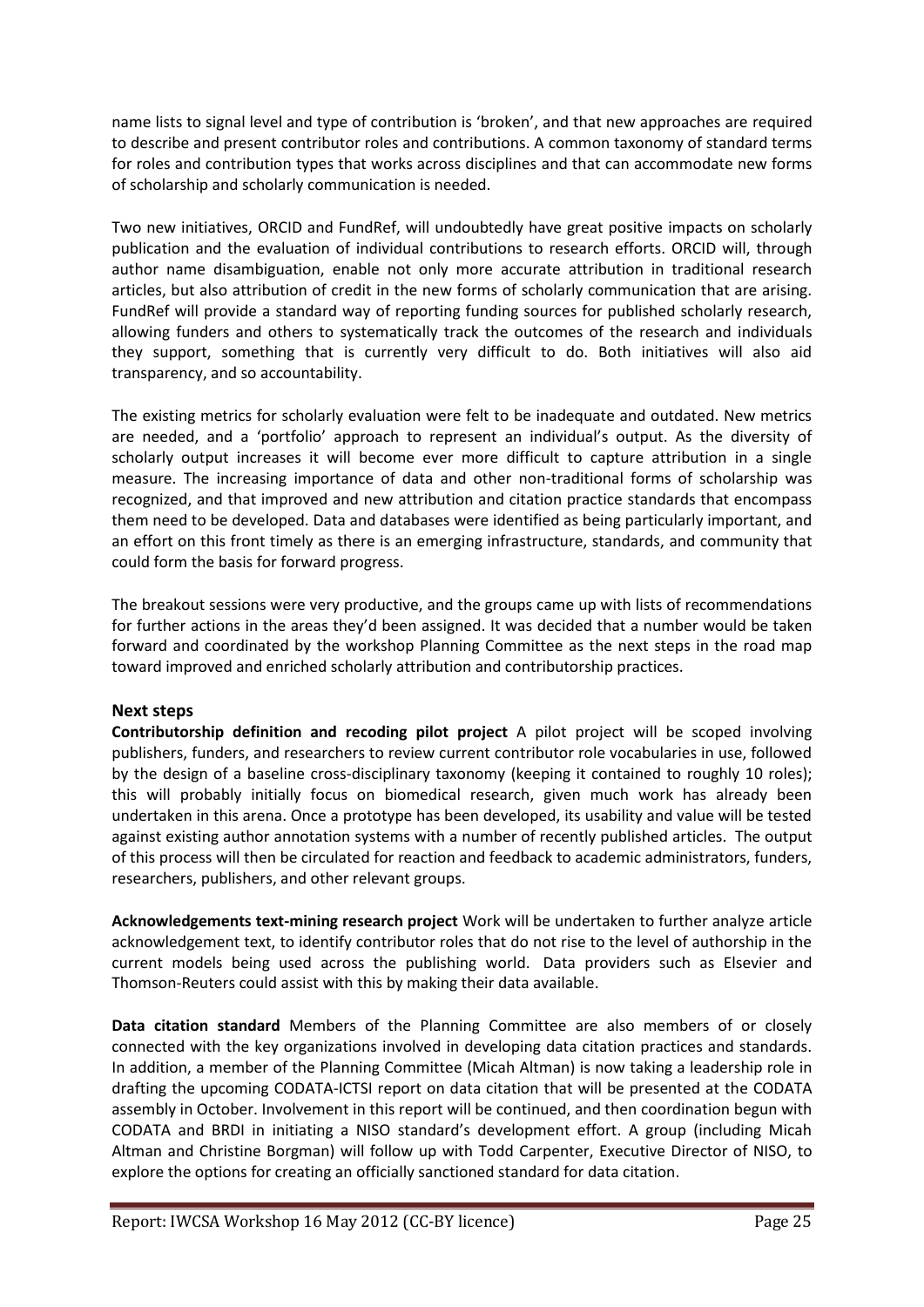name lists to signal level and type of contribution is 'broken', and that new approaches are required to describe and present contributor roles and contributions. A common taxonomy of standard terms for roles and contribution types that works across disciplines and that can accommodate new forms of scholarship and scholarly communication is needed.

Two new initiatives, ORCID and FundRef, will undoubtedly have great positive impacts on scholarly publication and the evaluation of individual contributions to research efforts. ORCID will, through author name disambiguation, enable not only more accurate attribution in traditional research articles, but also attribution of credit in the new forms of scholarly communication that are arising. FundRef will provide a standard way of reporting funding sources for published scholarly research, allowing funders and others to systematically track the outcomes of the research and individuals they support, something that is currently very difficult to do. Both initiatives will also aid transparency, and so accountability.

The existing metrics for scholarly evaluation were felt to be inadequate and outdated. New metrics are needed, and a 'portfolio' approach to represent an individual's output. As the diversity of scholarly output increases it will become ever more difficult to capture attribution in a single measure. The increasing importance of data and other non-traditional forms of scholarship was recognized, and that improved and new attribution and citation practice standards that encompass them need to be developed. Data and databases were identified as being particularly important, and an effort on this front timely as there is an emerging infrastructure, standards, and community that could form the basis for forward progress.

The breakout sessions were very productive, and the groups came up with lists of recommendations for further actions in the areas they'd been assigned. It was decided that a number would be taken forward and coordinated by the workshop Planning Committee as the next steps in the road map toward improved and enriched scholarly attribution and contributorship practices.

# **Next steps**

**Contributorship definition and recoding pilot project** A pilot project will be scoped involving publishers, funders, and researchers to review current contributor role vocabularies in use, followed by the design of a baseline cross-disciplinary taxonomy (keeping it contained to roughly 10 roles); this will probably initially focus on biomedical research, given much work has already been undertaken in this arena. Once a prototype has been developed, its usability and value will be tested against existing author annotation systems with a number of recently published articles. The output of this process will then be circulated for reaction and feedback to academic administrators, funders, researchers, publishers, and other relevant groups.

**Acknowledgements text-mining research project** Work will be undertaken to further analyze article acknowledgement text, to identify contributor roles that do not rise to the level of authorship in the current models being used across the publishing world. Data providers such as Elsevier and Thomson-Reuters could assist with this by making their data available.

**Data citation standard** Members of the Planning Committee are also members of or closely connected with the key organizations involved in developing data citation practices and standards. In addition, a member of the Planning Committee (Micah Altman) is now taking a leadership role in drafting the upcoming CODATA-ICTSI report on data citation that will be presented at the CODATA assembly in October. Involvement in this report will be continued, and then coordination begun with CODATA and BRDI in initiating a NISO standard's development effort. A group (including Micah Altman and Christine Borgman) will follow up with Todd Carpenter, Executive Director of NISO, to explore the options for creating an officially sanctioned standard for data citation.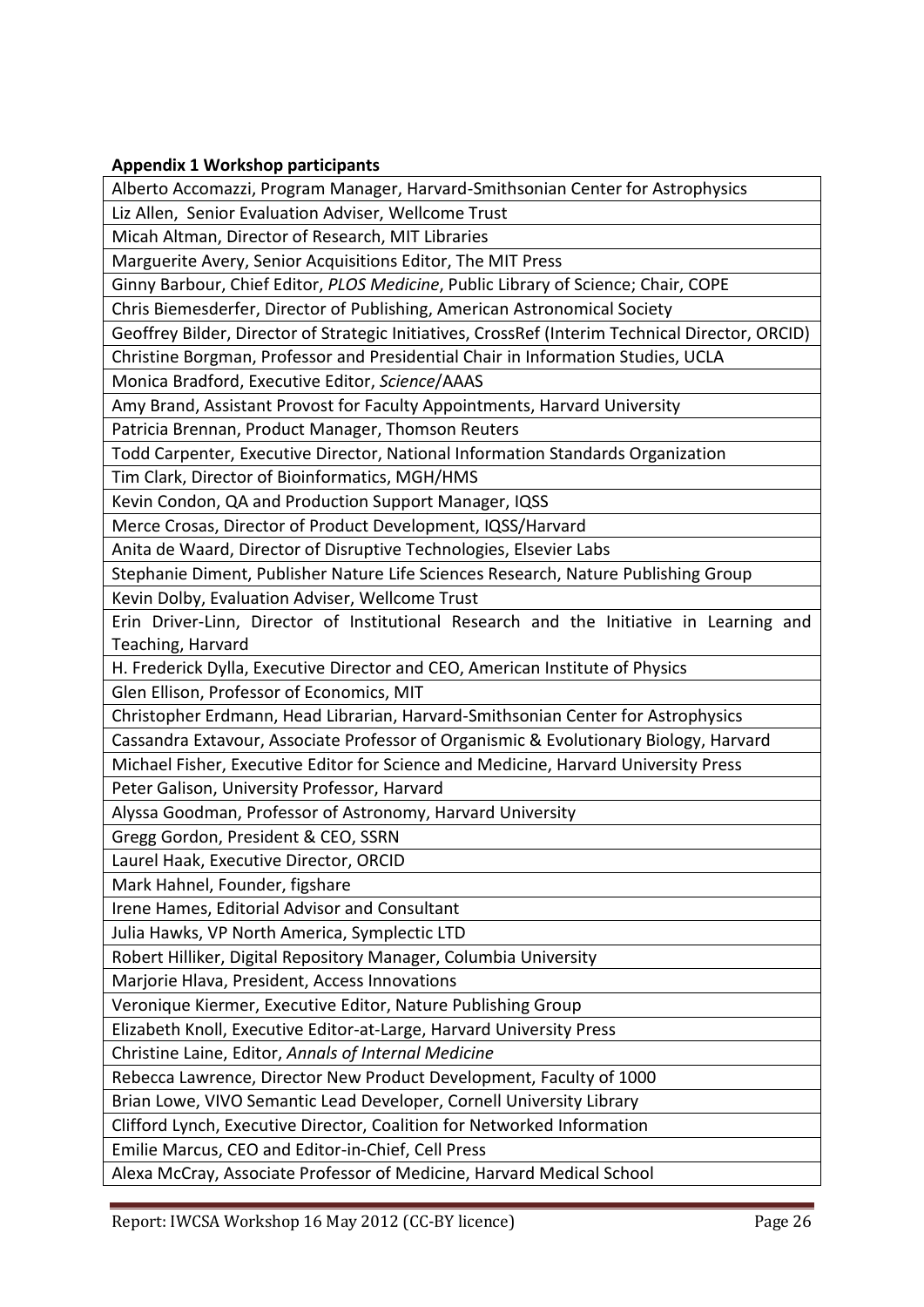# **Appendix 1 Workshop participants**

Alberto Accomazzi, Program Manager, Harvard-Smithsonian Center for Astrophysics

Liz Allen, Senior Evaluation Adviser, Wellcome Trust

Micah Altman, Director of Research, MIT Libraries

Marguerite Avery, Senior Acquisitions Editor, The MIT Press

Ginny Barbour, Chief Editor, *PLOS Medicine*, Public Library of Science; Chair, COPE

Chris Biemesderfer, Director of Publishing, American Astronomical Society

Geoffrey Bilder, Director of Strategic Initiatives, CrossRef (Interim Technical Director, ORCID)

Christine Borgman, Professor and Presidential Chair in Information Studies, UCLA

Monica Bradford, Executive Editor, *Science*/AAAS

Amy Brand, Assistant Provost for Faculty Appointments, Harvard University

Patricia Brennan, Product Manager, Thomson Reuters

Todd Carpenter, Executive Director, National Information Standards Organization

Tim Clark, Director of Bioinformatics, MGH/HMS

Kevin Condon, QA and Production Support Manager, IQSS

Merce Crosas, Director of Product Development, IQSS/Harvard

Anita de Waard, Director of Disruptive Technologies, Elsevier Labs

Stephanie Diment, Publisher Nature Life Sciences Research, Nature Publishing Group

Kevin Dolby, Evaluation Adviser, Wellcome Trust

Erin Driver-Linn, Director of Institutional Research and the Initiative in Learning and Teaching, Harvard

H. Frederick Dylla, Executive Director and CEO, American Institute of Physics

Glen Ellison, Professor of Economics, MIT

Christopher Erdmann, Head Librarian, Harvard-Smithsonian Center for Astrophysics

Cassandra Extavour, Associate Professor of Organismic & Evolutionary Biology, Harvard

Michael Fisher, Executive Editor for Science and Medicine, Harvard University Press

Peter Galison, University Professor, Harvard

Alyssa Goodman, Professor of Astronomy, Harvard University

Gregg Gordon, President & CEO, SSRN

Laurel Haak, Executive Director, ORCID

Mark Hahnel, Founder, figshare

Irene Hames, Editorial Advisor and Consultant

Julia Hawks, VP North America, Symplectic LTD

Robert Hilliker, Digital Repository Manager, Columbia University

Marjorie Hlava, President, Access Innovations

Veronique Kiermer, Executive Editor, Nature Publishing Group

Elizabeth Knoll, Executive Editor-at-Large, Harvard University Press

Christine Laine, Editor, *Annals of Internal Medicine*

Rebecca Lawrence, Director New Product Development, Faculty of 1000

Brian Lowe, VIVO Semantic Lead Developer, Cornell University Library

Clifford Lynch, Executive Director, Coalition for Networked Information

Emilie Marcus, CEO and Editor-in-Chief, Cell Press

Alexa McCray, Associate Professor of Medicine, Harvard Medical School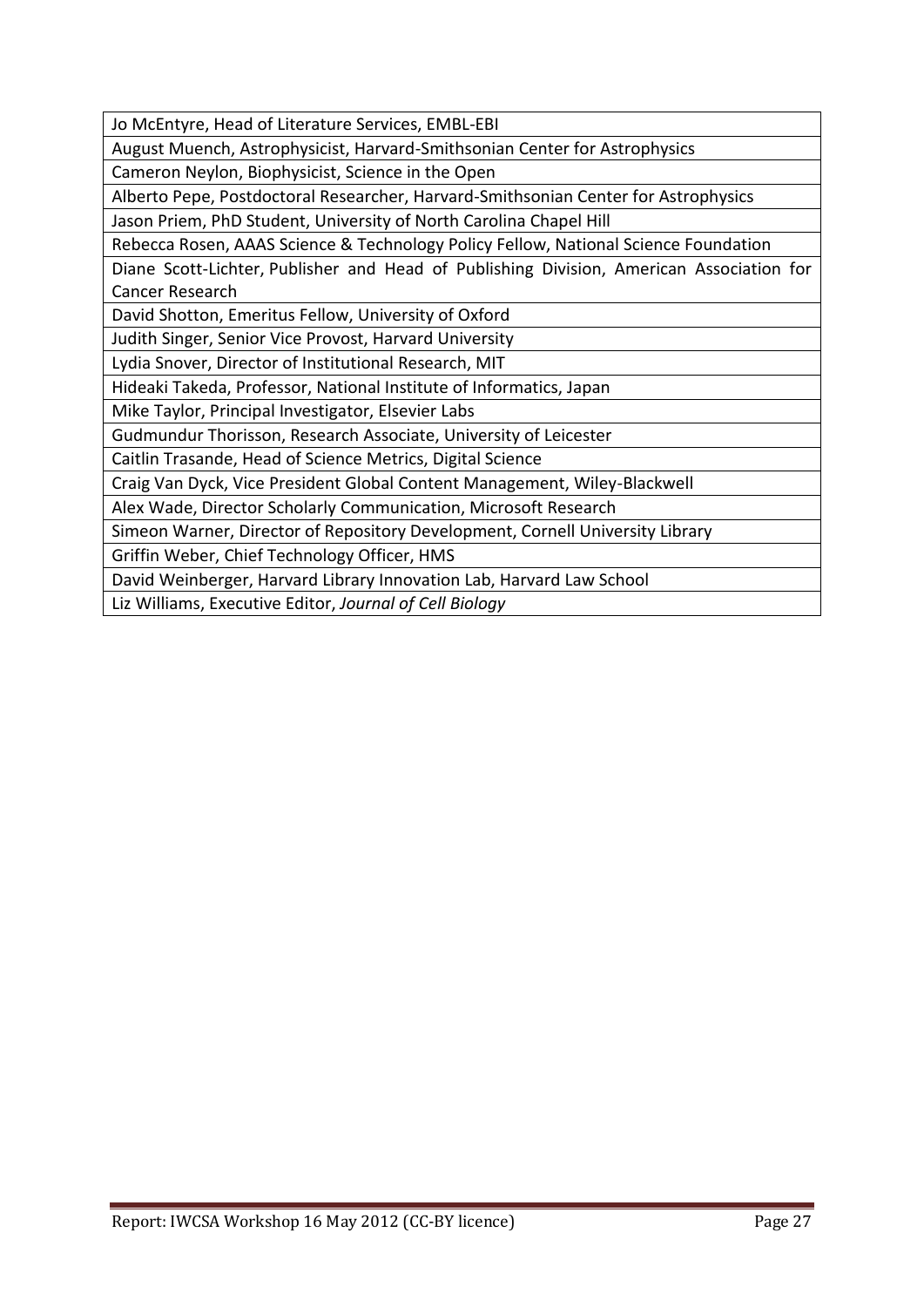Jo McEntyre, Head of Literature Services, EMBL-EBI

August Muench, Astrophysicist, Harvard-Smithsonian Center for Astrophysics

Cameron Neylon, Biophysicist, Science in the Open

Alberto Pepe, Postdoctoral Researcher, Harvard-Smithsonian Center for Astrophysics

Jason Priem, PhD Student, University of North Carolina Chapel Hill

Rebecca Rosen, AAAS Science & Technology Policy Fellow, National Science Foundation

Diane Scott-Lichter, Publisher and Head of Publishing Division, American Association for Cancer Research

David Shotton, Emeritus Fellow, University of Oxford

Judith Singer, Senior Vice Provost, Harvard University

Lydia Snover, Director of Institutional Research, MIT

Hideaki Takeda, Professor, National Institute of Informatics, Japan

Mike Taylor, Principal Investigator, Elsevier Labs

Gudmundur Thorisson, Research Associate, University of Leicester

Caitlin Trasande, Head of Science Metrics, Digital Science

Craig Van Dyck, Vice President Global Content Management, Wiley-Blackwell

Alex Wade, Director Scholarly Communication, Microsoft Research

Simeon Warner, Director of Repository Development, Cornell University Library

Griffin Weber, Chief Technology Officer, HMS

David Weinberger, Harvard Library Innovation Lab, Harvard Law School

Liz Williams, Executive Editor, *Journal of Cell Biology*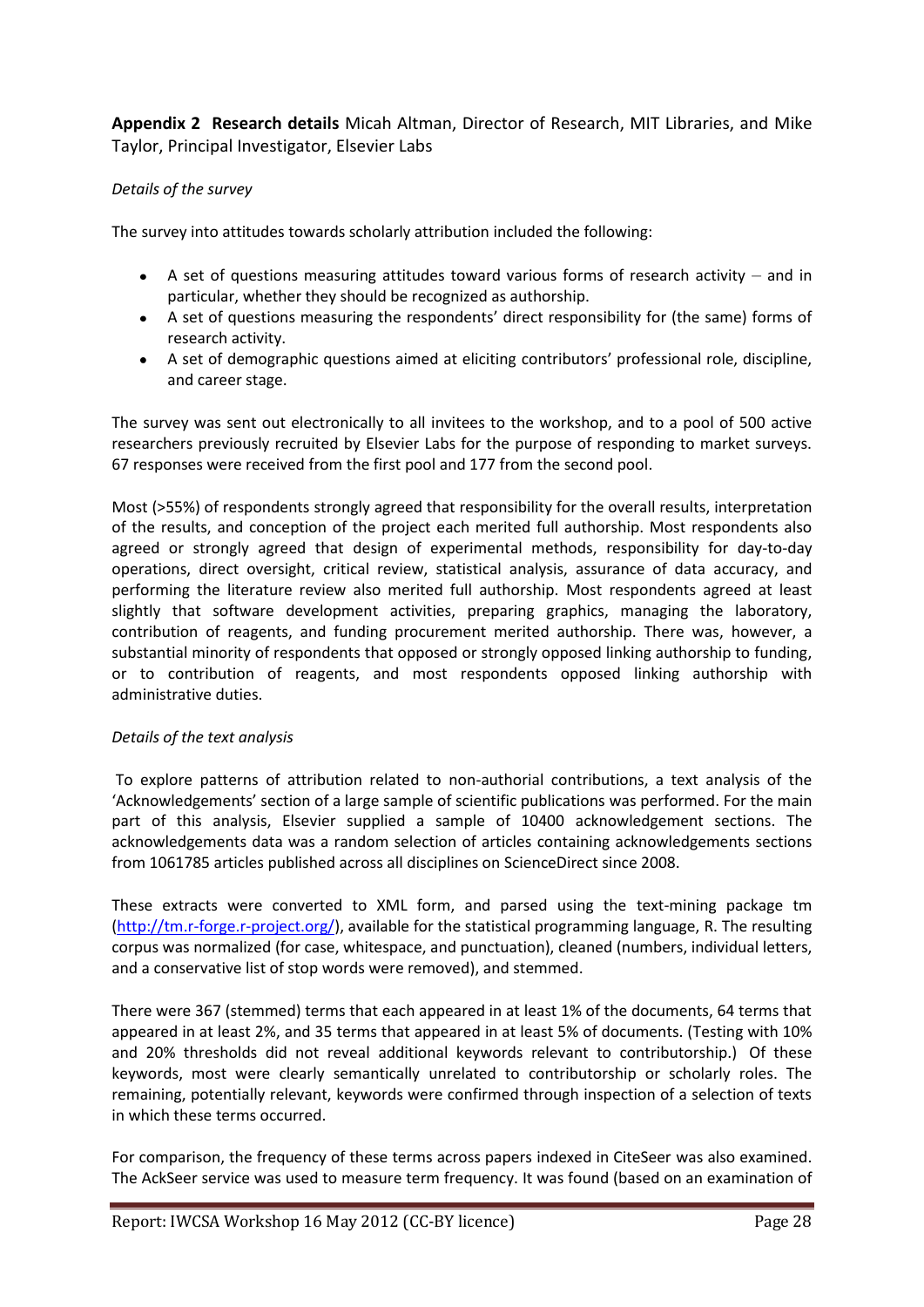**Appendix 2 Research details** Micah Altman, Director of Research, MIT Libraries, and Mike Taylor, Principal Investigator, Elsevier Labs

# *Details of the survey*

The survey into attitudes towards scholarly attribution included the following:

- A set of questions measuring attitudes toward various forms of research activity and in particular, whether they should be recognized as authorship.
- A set of questions measuring the respondents' direct responsibility for (the same) forms of research activity.
- A set of demographic questions aimed at eliciting contributors' professional role, discipline, and career stage.

The survey was sent out electronically to all invitees to the workshop, and to a pool of 500 active researchers previously recruited by Elsevier Labs for the purpose of responding to market surveys. 67 responses were received from the first pool and 177 from the second pool.

Most (>55%) of respondents strongly agreed that responsibility for the overall results, interpretation of the results, and conception of the project each merited full authorship. Most respondents also agreed or strongly agreed that design of experimental methods, responsibility for day-to-day operations, direct oversight, critical review, statistical analysis, assurance of data accuracy, and performing the literature review also merited full authorship. Most respondents agreed at least slightly that software development activities, preparing graphics, managing the laboratory, contribution of reagents, and funding procurement merited authorship. There was, however, a substantial minority of respondents that opposed or strongly opposed linking authorship to funding, or to contribution of reagents, and most respondents opposed linking authorship with administrative duties.

# *Details of the text analysis*

To explore patterns of attribution related to non-authorial contributions, a text analysis of the 'Acknowledgements' section of a large sample of scientific publications was performed. For the main part of this analysis, Elsevier supplied a sample of 10400 acknowledgement sections. The acknowledgements data was a random selection of articles containing acknowledgements sections from 1061785 articles published across all disciplines on ScienceDirect since 2008.

These extracts were converted to XML form, and parsed using the text-mining package tm [\(http://tm.r-forge.r-project.org/\)](http://tm.r-forge.r-project.org/), available for the statistical programming language, R. The resulting corpus was normalized (for case, whitespace, and punctuation), cleaned (numbers, individual letters, and a conservative list of stop words were removed), and stemmed.

There were 367 (stemmed) terms that each appeared in at least 1% of the documents, 64 terms that appeared in at least 2%, and 35 terms that appeared in at least 5% of documents. (Testing with 10% and 20% thresholds did not reveal additional keywords relevant to contributorship.) Of these keywords, most were clearly semantically unrelated to contributorship or scholarly roles. The remaining, potentially relevant, keywords were confirmed through inspection of a selection of texts in which these terms occurred.

For comparison, the frequency of these terms across papers indexed in CiteSeer was also examined. The AckSeer service was used to measure term frequency. It was found (based on an examination of